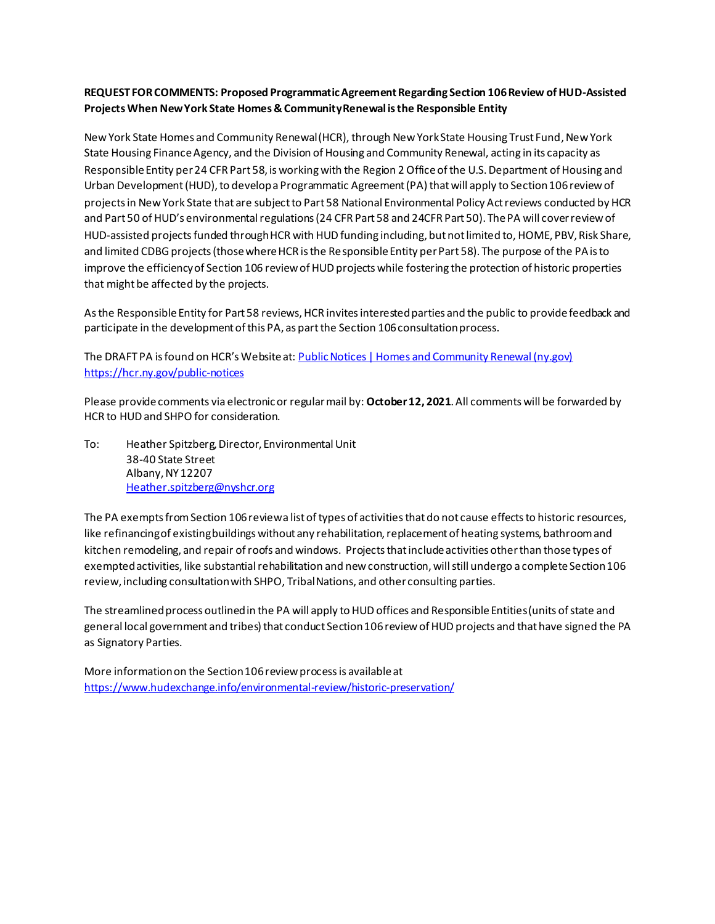### **REQUEST FOR COMMENTS: Proposed Programmatic Agreement Regarding Section 106 Review of HUD-Assisted Projects When New York State Homes & Community Renewal is the Responsible Entity**

New York State Homes and Community Renewal (HCR), through New York State Housing Trust Fund, New York State Housing Finance Agency, and the Division of Housing and Community Renewal, acting in its capacity as Responsible Entity per 24 CFR Part 58, is working with the Region 2 Office of the U.S. Department of Housing and Urban Development (HUD), to develop a Programmatic Agreement (PA) that will apply to Section 106 review of projects in New York State that are subject to Part 58 National Environmental Policy Act reviews conducted by HCR and Part 50 of HUD's environmental regulations (24 CFR Part 58 and 24CFR Part 50). The PA will cover review of HUD-assisted projects funded through HCR with HUD funding including, but not limited to, HOME, PBV, Risk Share, and limited CDBG projects (those where HCR is the Responsible Entity per Part 58). The purpose of the PA is to improve the efficiency of Section 106 review of HUD projects while fostering the protection of historic properties that might be affected by the projects.

As the Responsible Entity for Part 58 reviews, HCR invitesinterested parties and the public to provide feedback and participate in the development of this PA, as part the Section 106 consultation process.

The DRAFT PA is found on HCR's Website at: [Public Notices | Homes and Community Renewal \(ny.gov\)](https://hcr.ny.gov/public-notices) <https://hcr.ny.gov/public-notices>

Please provide comments via electronic or regular mail by: **October 12, 2021**. All comments will be forwarded by HCR to HUD and SHPO for consideration.

To: Heather Spitzberg, Director, Environmental Unit 38-40 State Street Albany, NY 12207 [Heather.spitzberg@nyshcr.org](mailto:Heather.spitzberg@nyshcr.org)

The PA exempts from Section 106 review a list of types of activities that do not cause effects to historic resources, like refinancing of existing buildings without any rehabilitation, replacement of heating systems, bathroom and kitchen remodeling, and repair of roofs and windows. Projects that include activities other than those types of exempted activities, like substantial rehabilitation and new construction, will still undergo a complete Section 106 review, including consultation with SHPO, Tribal Nations, and other consulting parties.

The streamlined process outlined in the PA will apply to HUD offices and Responsible Entities (units of state and general local government and tribes) that conduct Section 106 review of HUD projects and that have signed the PA as Signatory Parties.

More information on the Section 106 review process is available at <https://www.hudexchange.info/environmental-review/historic-preservation/>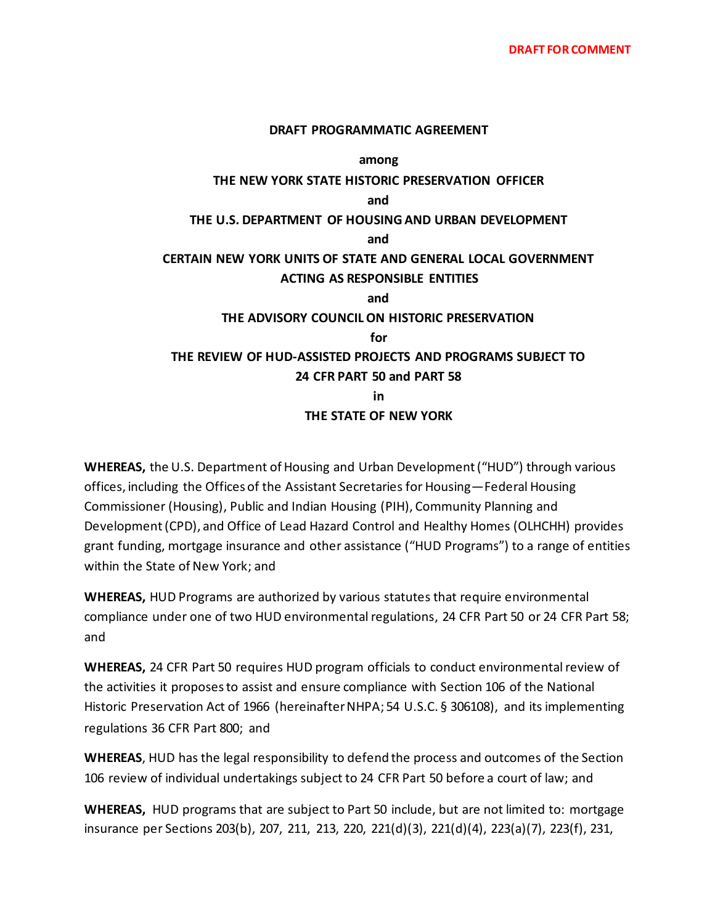### **DRAFT PROGRAMMATIC AGREEMENT**

**among**

### **THE NEW YORK STATE HISTORIC PRESERVATION OFFICER**

**and**

### **THE U.S. DEPARTMENT OF HOUSING AND URBAN DEVELOPMENT**

**and**

## **CERTAIN NEW YORK UNITS OF STATE AND GENERAL LOCAL GOVERNMENT ACTING AS RESPONSIBLE ENTITIES**

**and**

### **THE ADVISORY COUNCIL ON HISTORIC PRESERVATION**

**for**

### **THE REVIEW OF HUD-ASSISTED PROJECTS AND PROGRAMS SUBJECT TO**

### **24 CFR PART 50 and PART 58**

**in**

### **THE STATE OF NEW YORK**

**WHEREAS,** the U.S. Department of Housing and Urban Development ("HUD") through various offices, including the Offices of the Assistant Secretaries for Housing—Federal Housing Commissioner (Housing), Public and Indian Housing (PIH), Community Planning and Development(CPD), and Office of Lead Hazard Control and Healthy Homes (OLHCHH) provides grant funding, mortgage insurance and other assistance ("HUD Programs") to a range of entities within the State of New York; and

**WHEREAS,** HUD Programs are authorized by various statutes that require environmental compliance under one of two HUD environmental regulations, 24 CFR Part 50 or 24 CFR Part 58; and

**WHEREAS,** 24 CFR Part 50 requires HUD program officials to conduct environmental review of the activities it proposes to assist and ensure compliance with Section 106 of the National Historic Preservation Act of 1966 (hereinafter NHPA; 54 U.S.C. § 306108), and its implementing regulations 36 CFR Part 800; and

**WHEREAS**, HUD has the legal responsibility to defend the process and outcomes of the Section 106 review of individual undertakings subject to 24 CFR Part 50 before a court of law; and

**WHEREAS,** HUD programs that are subject to Part 50 include, but are not limited to: mortgage insurance per Sections 203(b), 207, 211, 213, 220, 221(d)(3), 221(d)(4), 223(a)(7), 223(f), 231,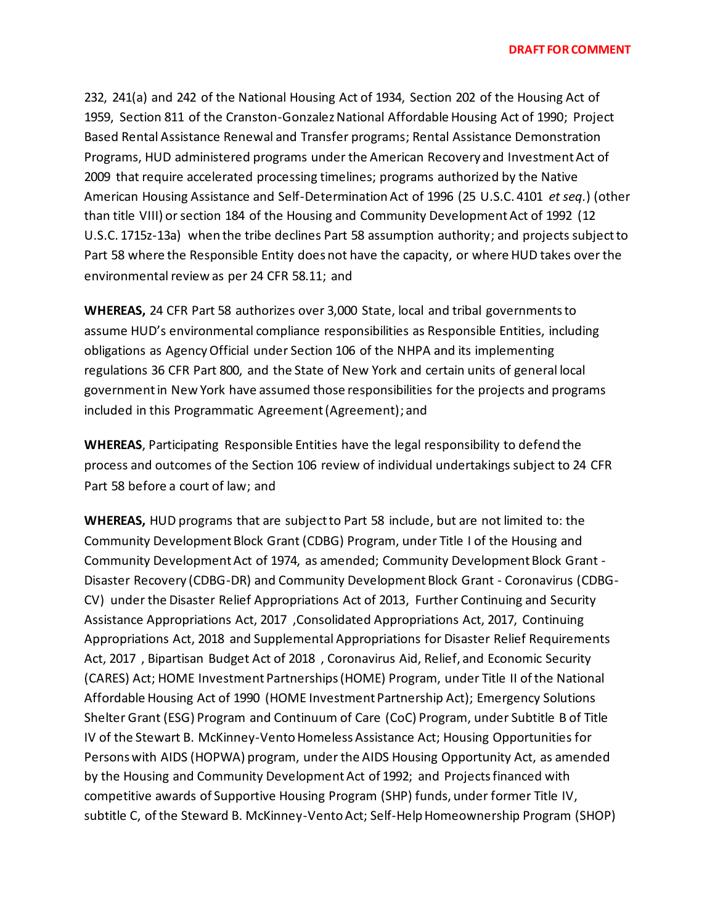232, 241(a) and 242 of the National Housing Act of 1934, Section 202 of the Housing Act of 1959, Section 811 of the Cranston-Gonzalez National Affordable Housing Act of 1990; Project Based Rental Assistance Renewal and Transfer programs; Rental Assistance Demonstration Programs, HUD administered programs under the American Recovery and Investment Act of 2009 that require accelerated processing timelines; programs authorized by the Native American Housing Assistance and Self-Determination Act of 1996 (25 U.S.C. 4101 *et seq.*) (other than title VIII) or section 184 of the Housing and Community Development Act of 1992 (12 U.S.C. 1715z-13a) when the tribe declines Part 58 assumption authority; and projects subject to Part 58 where the Responsible Entity does not have the capacity, or where HUD takes over the environmental review as per 24 CFR 58.11; and

**WHEREAS,** 24 CFR Part 58 authorizes over 3,000 State, local and tribal governments to assume HUD's environmental compliance responsibilities as Responsible Entities, including obligations as Agency Official under Section 106 of the NHPA and its implementing regulations 36 CFR Part 800, and the State of New York and certain units of general local governmentin New York have assumed those responsibilities for the projects and programs included in this Programmatic Agreement (Agreement); and

**WHEREAS**, Participating Responsible Entities have the legal responsibility to defend the process and outcomes of the Section 106 review of individual undertakings subject to 24 CFR Part 58 before a court of law; and

**WHEREAS,** HUD programs that are subject to Part 58 include, but are not limited to: the Community Development Block Grant (CDBG) Program, under Title I of the Housing and Community Development Act of 1974, as amended; Community Development Block Grant - Disaster Recovery (CDBG-DR) and Community Development Block Grant - Coronavirus (CDBG-CV) under the Disaster Relief Appropriations Act of 2013, Further Continuing and Security Assistance Appropriations Act, 2017 ,Consolidated Appropriations Act, 2017, Continuing Appropriations Act, 2018 and Supplemental Appropriations for Disaster Relief Requirements Act, 2017 , Bipartisan Budget Act of 2018 , Coronavirus Aid, Relief, and Economic Security (CARES) Act; HOME Investment Partnerships (HOME) Program, under Title II of the National Affordable Housing Act of 1990 (HOME Investment Partnership Act); Emergency Solutions Shelter Grant (ESG) Program and Continuum of Care (CoC) Program, under Subtitle B of Title IV of the Stewart B. McKinney-Vento Homeless Assistance Act; Housing Opportunities for Persons with AIDS (HOPWA) program, under the AIDS Housing Opportunity Act, as amended by the Housing and Community Development Act of 1992; and Projects financed with competitive awards of Supportive Housing Program (SHP) funds, under former Title IV, subtitle C, of the Steward B. McKinney-Vento Act; Self-Help Homeownership Program (SHOP)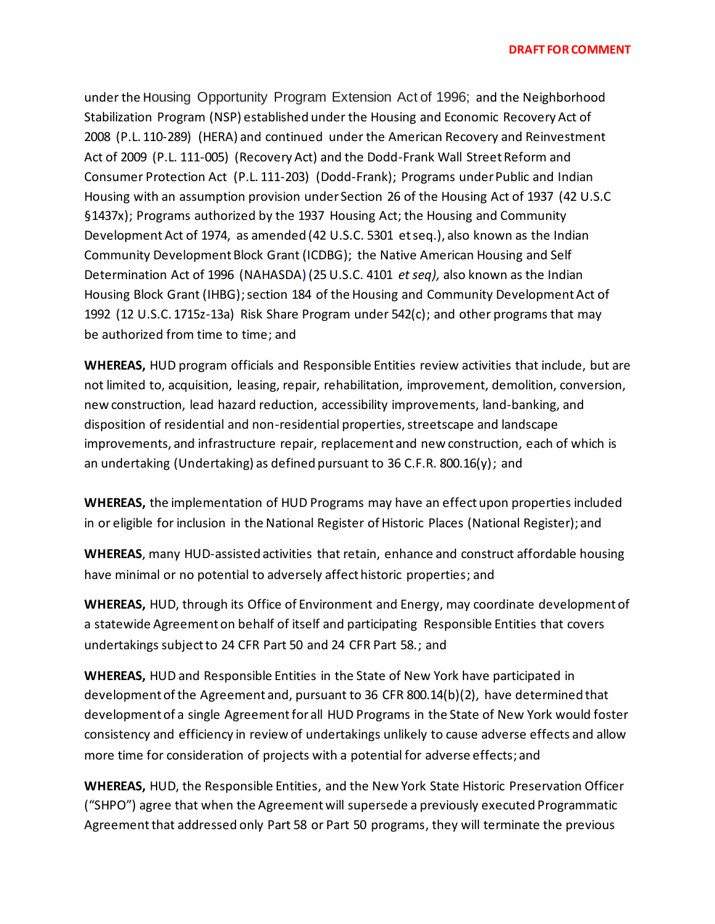under the Housing Opportunity Program Extension Act of 1996; and the Neighborhood Stabilization Program (NSP) established under the Housing and Economic Recovery Act of 2008 (P.L. 110-289) (HERA) and continued under the American Recovery and Reinvestment Act of 2009 (P.L. 111-005) (Recovery Act) and the Dodd-Frank Wall Street Reform and Consumer Protection Act (P.L. 111-203) (Dodd-Frank); Programs under Public and Indian Housing with an assumption provision under Section 26 of the Housing Act of 1937 (42 U.S.C §1437x); Programs authorized by the 1937 Housing Act; the Housing and Community Development Act of 1974, as amended (42 U.S.C. 5301 et seq.), also known as the Indian Community Development Block Grant (ICDBG); the Native American Housing and Self Determination Act of 1996 (NAHASDA) (25 U.S.C. 4101 *et seq),* also known as the Indian Housing Block Grant (IHBG);section 184 of the Housing and Community Development Act of 1992 (12 U.S.C. 1715z-13a) Risk Share Program under 542(c); and other programs that may be authorized from time to time; and

**WHEREAS,** HUD program officials and Responsible Entities review activities that include, but are not limited to, acquisition, leasing, repair, rehabilitation, improvement, demolition, conversion, new construction, lead hazard reduction, accessibility improvements, land-banking, and disposition of residential and non-residential properties, streetscape and landscape improvements, and infrastructure repair, replacement and new construction, each of which is an undertaking (Undertaking) as defined pursuant to 36 C.F.R. 800.16(y); and

**WHEREAS,** the implementation of HUD Programs may have an effect upon properties included in or eligible for inclusion in the National Register of Historic Places (National Register); and

**WHEREAS**, many HUD-assisted activities that retain, enhance and construct affordable housing have minimal or no potential to adversely affect historic properties; and

**WHEREAS,** HUD, through its Office of Environment and Energy, may coordinate development of a statewide Agreement on behalf of itself and participating Responsible Entities that covers undertakings subject to 24 CFR Part 50 and 24 CFR Part 58.; and

**WHEREAS,** HUD and Responsible Entities in the State of New York have participated in development of the Agreement and, pursuant to 36 CFR 800.14(b)(2), have determined that development of a single Agreementfor all HUD Programs in the State of New York would foster consistency and efficiency in review of undertakings unlikely to cause adverse effects and allow more time for consideration of projects with a potential for adverse effects; and

**WHEREAS,** HUD, the Responsible Entities, and the New York State Historic Preservation Officer ("SHPO") agree that when the Agreement will supersede a previously executed Programmatic Agreementthat addressed only Part 58 or Part 50 programs, they will terminate the previous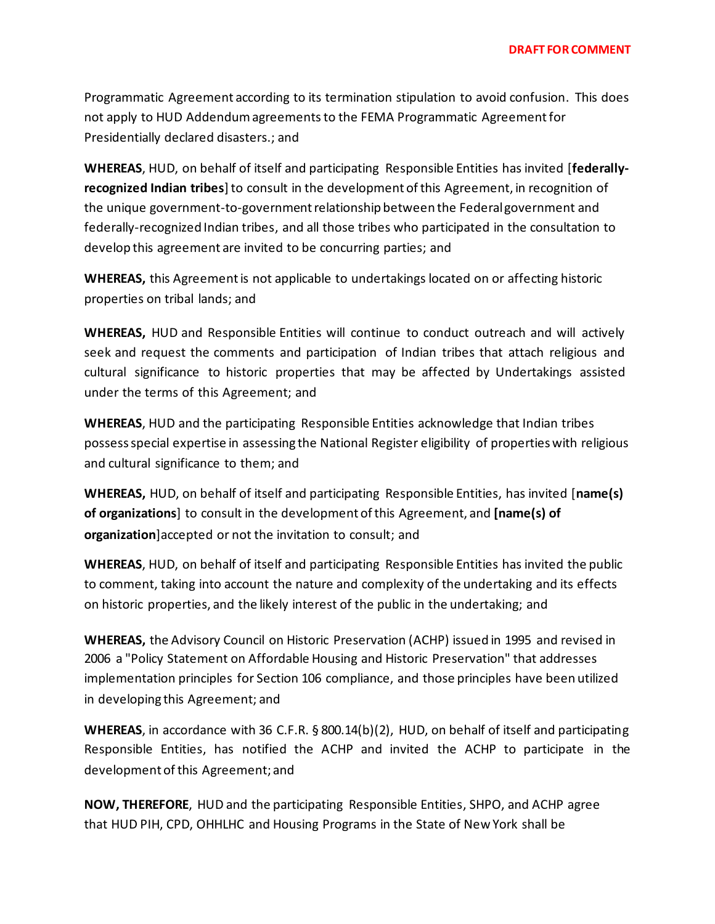Programmatic Agreement according to its termination stipulation to avoid confusion. This does not apply to HUD Addendum agreements to the FEMA Programmatic Agreement for Presidentially declared disasters.; and

**WHEREAS**, HUD, on behalf of itself and participating Responsible Entities has invited [**federallyrecognized Indian tribes**]to consult in the development of this Agreement, in recognition of the unique government-to-government relationship between the Federal government and federally-recognized Indian tribes, and all those tribes who participated in the consultation to develop this agreement are invited to be concurring parties; and

**WHEREAS,** this Agreement is not applicable to undertakings located on or affecting historic properties on tribal lands; and

**WHEREAS,** HUD and Responsible Entities will continue to conduct outreach and will actively seek and request the comments and participation of Indian tribes that attach religious and cultural significance to historic properties that may be affected by Undertakings assisted under the terms of this Agreement; and

**WHEREAS**, HUD and the participating Responsible Entities acknowledge that Indian tribes possess special expertise in assessing the National Register eligibility of properties with religious and cultural significance to them; and

**WHEREAS,** HUD, on behalf of itself and participating Responsible Entities, has invited [**name(s) of organizations**] to consult in the development of this Agreement, and **[name(s) of organization**]accepted or not the invitation to consult; and

**WHEREAS**, HUD, on behalf of itself and participating Responsible Entities has invited the public to comment, taking into account the nature and complexity of the undertaking and its effects on historic properties, and the likely interest of the public in the undertaking; and

**WHEREAS,** the Advisory Council on Historic Preservation (ACHP) issued in 1995 and revised in 2006 a "Policy Statement on Affordable Housing and Historic Preservation" that addresses implementation principles for Section 106 compliance, and those principles have been utilized in developing this Agreement; and

**WHEREAS**, in accordance with 36 C.F.R. § 800.14(b)(2), HUD, on behalf of itself and participating Responsible Entities, has notified the ACHP and invited the ACHP to participate in the development of this Agreement; and

**NOW, THEREFORE**, HUD and the participating Responsible Entities, SHPO, and ACHP agree that HUD PIH, CPD, OHHLHC and Housing Programs in the State of New York shall be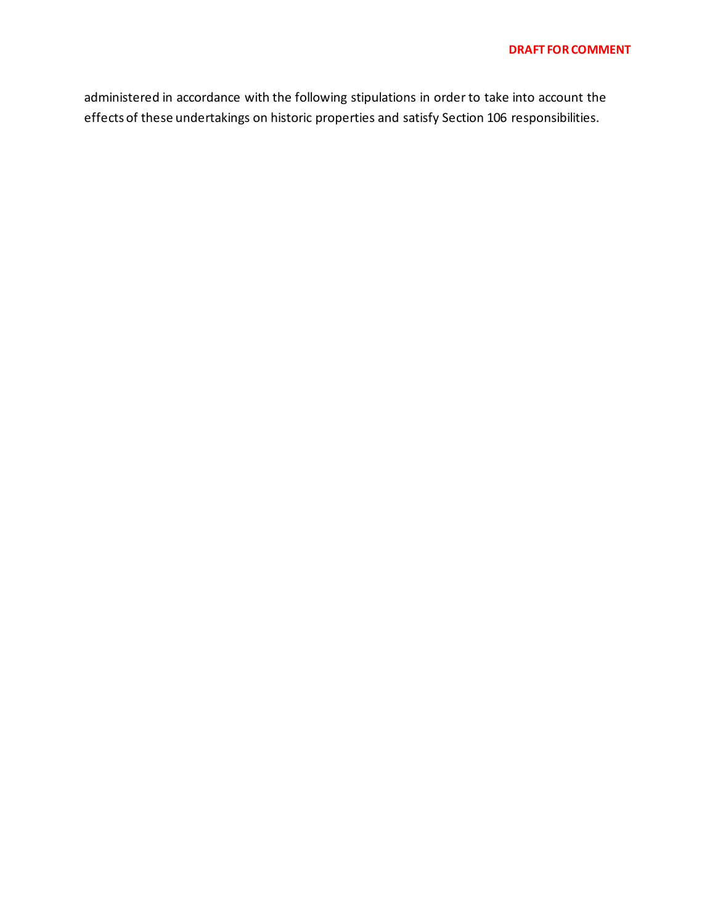administered in accordance with the following stipulations in order to take into account the effects of these undertakings on historic properties and satisfy Section 106 responsibilities.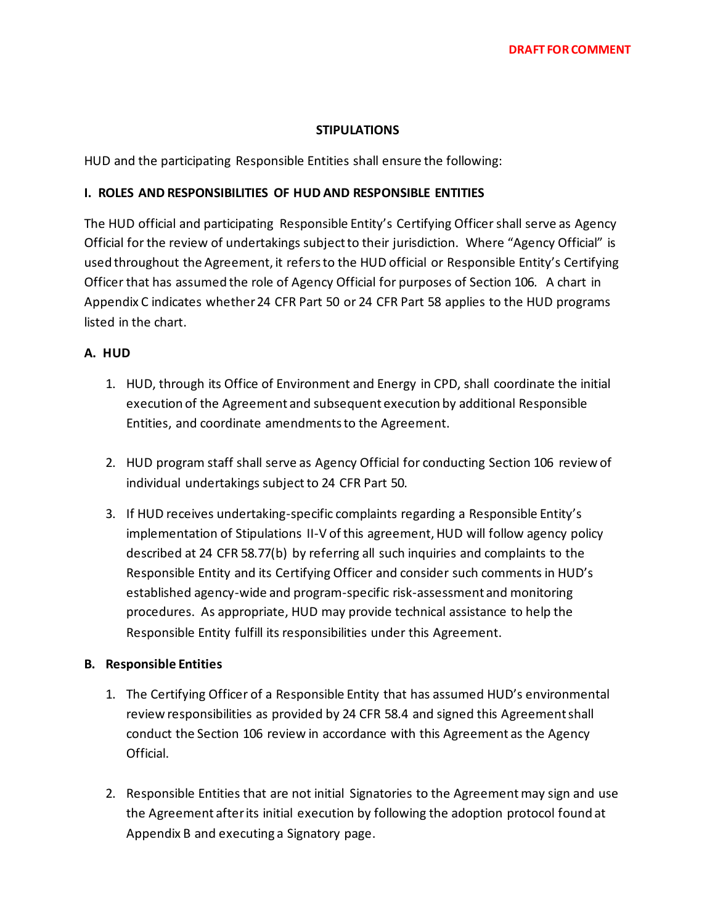### **STIPULATIONS**

HUD and the participating Responsible Entities shall ensure the following:

## **I. ROLES AND RESPONSIBILITIES OF HUD AND RESPONSIBLE ENTITIES**

The HUD official and participating Responsible Entity's Certifying Officer shall serve as Agency Official for the review of undertakings subject to their jurisdiction. Where "Agency Official" is used throughout the Agreement, it refers to the HUD official or Responsible Entity's Certifying Officer that has assumed the role of Agency Official for purposes of Section 106. A chart in Appendix C indicates whether 24 CFR Part 50 or 24 CFR Part 58 applies to the HUD programs listed in the chart.

## **A. HUD**

- 1. HUD, through its Office of Environment and Energy in CPD, shall coordinate the initial execution of the Agreement and subsequent execution by additional Responsible Entities, and coordinate amendments to the Agreement.
- 2. HUD program staff shall serve as Agency Official for conducting Section 106 review of individual undertakings subject to 24 CFR Part 50.
- 3. If HUD receives undertaking-specific complaints regarding a Responsible Entity's implementation of Stipulations II-V ofthis agreement, HUD will follow agency policy described at 24 CFR 58.77(b) by referring all such inquiries and complaints to the Responsible Entity and its Certifying Officer and consider such comments in HUD's established agency-wide and program-specific risk-assessment and monitoring procedures. As appropriate, HUD may provide technical assistance to help the Responsible Entity fulfill its responsibilities under this Agreement.

### **B. Responsible Entities**

- 1. The Certifying Officer of a Responsible Entity that has assumed HUD's environmental review responsibilities as provided by 24 CFR 58.4 and signed this Agreement shall conduct the Section 106 review in accordance with this Agreement as the Agency Official.
- 2. Responsible Entities that are not initial Signatories to the Agreementmay sign and use the Agreement after its initial execution by following the adoption protocol found at Appendix B and executing a Signatory page.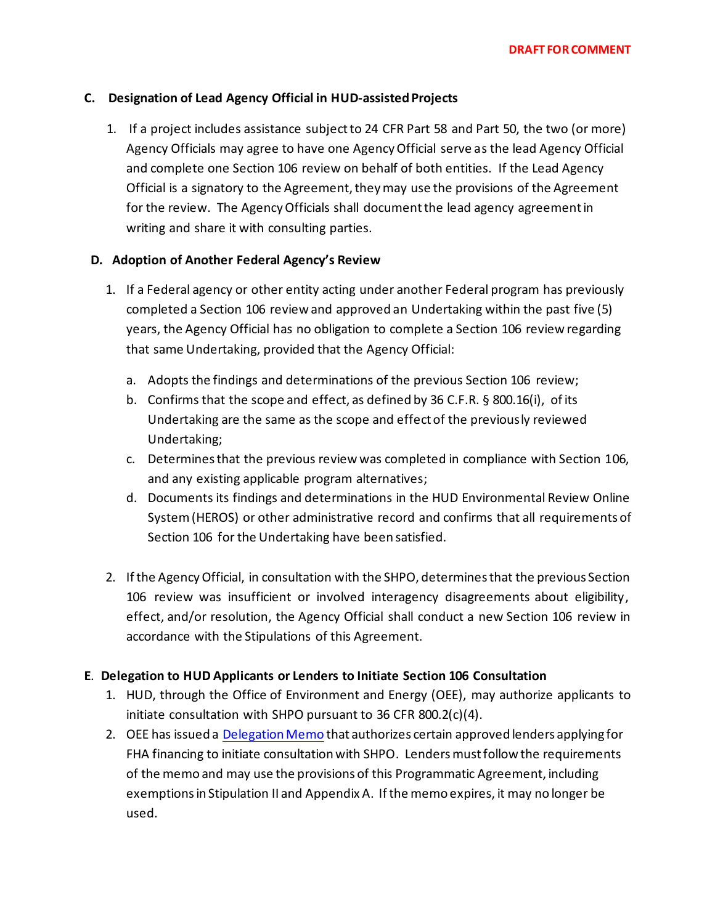## **C. Designation of Lead Agency Official in HUD-assisted Projects**

1. If a project includes assistance subjectto 24 CFR Part 58 and Part 50, the two (or more) Agency Officials may agree to have one Agency Official serve as the lead Agency Official and complete one Section 106 review on behalf of both entities. If the Lead Agency Official is a signatory to the Agreement, they may use the provisions of the Agreement for the review. The Agency Officials shall document the lead agency agreement in writing and share it with consulting parties.

## **D. Adoption of Another Federal Agency's Review**

- 1. If a Federal agency or other entity acting under another Federal program has previously completed a Section 106 review and approved an Undertaking within the past five (5) years, the Agency Official has no obligation to complete a Section 106 review regarding that same Undertaking, provided that the Agency Official:
	- a. Adopts the findings and determinations of the previous Section 106 review;
	- b. Confirms that the scope and effect, as defined by 36 C.F.R. § 800.16(i), of its Undertaking are the same as the scope and effect of the previously reviewed Undertaking;
	- c. Determines that the previous review was completed in compliance with Section 106, and any existing applicable program alternatives;
	- d. Documents its findings and determinations in the HUD Environmental Review Online System (HEROS) or other administrative record and confirms that all requirements of Section 106 for the Undertaking have been satisfied.
- 2. If the Agency Official, in consultation with the SHPO, determines that the previous Section 106 review was insufficient or involved interagency disagreements about eligibility, effect, and/or resolution, the Agency Official shall conduct a new Section 106 review in accordance with the Stipulations of this Agreement.

## **E**. **Delegation to HUD Applicants or Lenders to Initiate Section 106 Consultation**

- 1. HUD, through the Office of Environment and Energy (OEE), may authorize applicants to initiate consultation with SHPO pursuant to 36 CFR 800.2(c)(4).
- 2. OEE has issued a [Delegation Memo](https://www.hudexchange.info/resource/6295/authorization-of-map-and-ohp-approved-lenders-and-their-authorized-representatives-to-initiate-section-106-consultation-for-hud-office-of-housing-programs/) that authorizes certain approved lenders applying for FHA financing to initiate consultation with SHPO. Lenders must follow the requirements of the memo and may use the provisions of this Programmatic Agreement, including exemptions in Stipulation II and Appendix A. If the memo expires, it may no longer be used.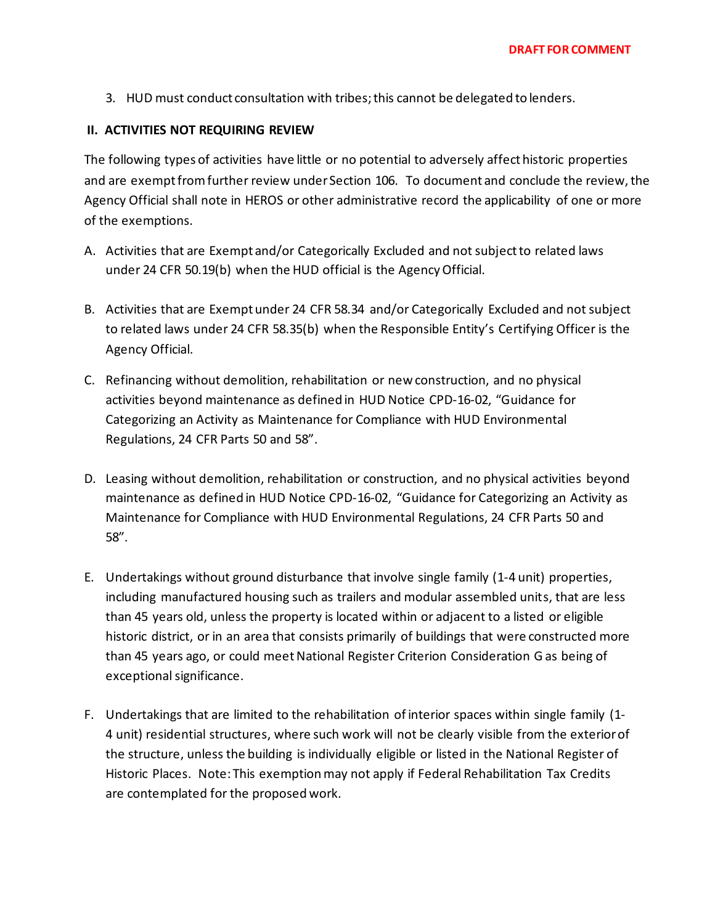3. HUD must conduct consultation with tribes; this cannot be delegated to lenders.

### **II. ACTIVITIES NOT REQUIRING REVIEW**

The following types of activities have little or no potential to adversely affect historic properties and are exempt from further review under Section 106. To document and conclude the review, the Agency Official shall note in HEROS or other administrative record the applicability of one or more of the exemptions.

- A. Activities that are Exempt and/or Categorically Excluded and not subject to related laws under 24 CFR 50.19(b) when the HUD official is the Agency Official.
- B. Activities that are Exempt under 24 CFR 58.34 and/or Categorically Excluded and not subject to related laws under 24 CFR 58.35(b) when the Responsible Entity's Certifying Officer is the Agency Official.
- C. Refinancing without demolition, rehabilitation or new construction, and no physical activities beyond maintenance as defined in HUD Notice CPD-16-02, "Guidance for Categorizing an Activity as Maintenance for Compliance with HUD Environmental Regulations, 24 CFR Parts 50 and 58".
- D. Leasing without demolition, rehabilitation or construction, and no physical activities beyond maintenance as defined in HUD Notice CPD-16-02, "Guidance for Categorizing an Activity as Maintenance for Compliance with HUD Environmental Regulations, 24 CFR Parts 50 and 58".
- E. Undertakings without ground disturbance that involve single family (1-4 unit) properties, including manufactured housing such as trailers and modular assembled units, that are less than 45 years old, unless the property is located within or adjacent to a listed or eligible historic district, or in an area that consists primarily of buildings that were constructed more than 45 years ago, or could meet National Register Criterion Consideration G as being of exceptional significance.
- F. Undertakings that are limited to the rehabilitation of interior spaces within single family (1- 4 unit) residential structures, where such work will not be clearly visible from the exterior of the structure, unless the building is individually eligible or listed in the National Register of Historic Places. Note: This exemption may not apply if Federal Rehabilitation Tax Credits are contemplated for the proposed work.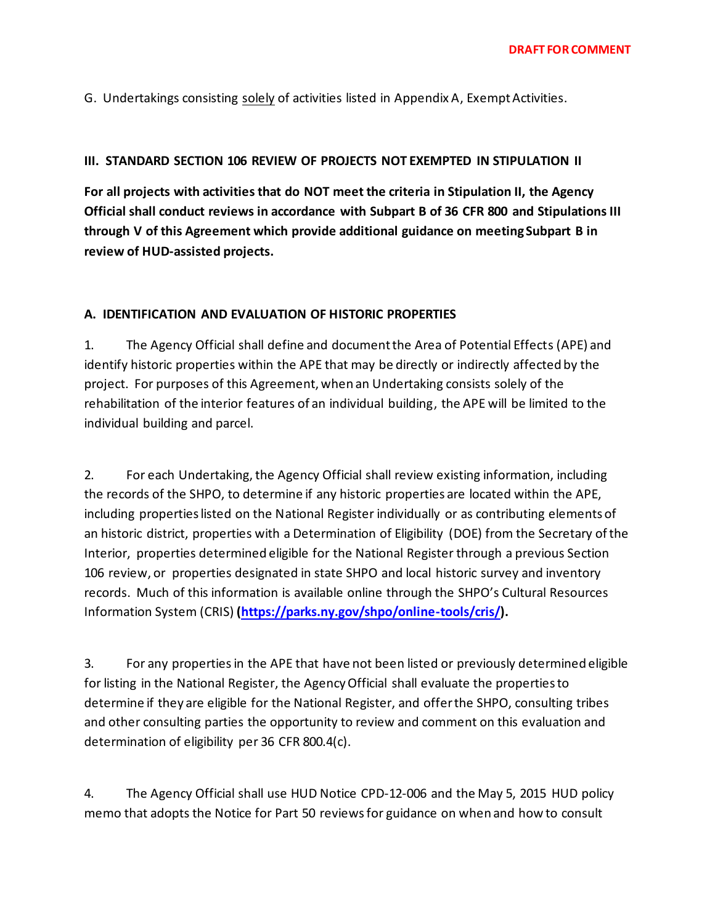G. Undertakings consisting solely of activities listed in Appendix A, Exempt Activities.

## **III. STANDARD SECTION 106 REVIEW OF PROJECTS NOT EXEMPTED IN STIPULATION II**

**For all projects with activities that do NOT meet the criteria in Stipulation II, the Agency Official shall conduct reviews in accordance with Subpart B of 36 CFR 800 and Stipulations III through V of this Agreement which provide additional guidance on meeting Subpart B in review of HUD-assisted projects.** 

## **A. IDENTIFICATION AND EVALUATION OF HISTORIC PROPERTIES**

1. The Agency Official shall define and document the Area of Potential Effects (APE) and identify historic properties within the APE that may be directly or indirectly affected by the project. For purposes of this Agreement, when an Undertaking consists solely of the rehabilitation of the interior features of an individual building, the APE will be limited to the individual building and parcel.

2. For each Undertaking, the Agency Official shall review existing information, including the records of the SHPO, to determine if any historic properties are located within the APE, including properties listed on the National Register individually or as contributing elements of an historic district, properties with a Determination of Eligibility (DOE) from the Secretary of the Interior, properties determined eligible for the National Register through a previous Section 106 review, or properties designated in state SHPO and local historic survey and inventory records. Much of this information is available online through the SHPO's Cultural Resources Information System (CRIS) **[\(https://parks.ny.gov/shpo/online-tools/cris/\).](https://parks.ny.gov/shpo/online-tools/cris/)**

3. For any properties in the APE that have not been listed or previously determined eligible for listing in the National Register, the Agency Official shall evaluate the properties to determine if they are eligible for the National Register, and offer the SHPO, consulting tribes and other consulting parties the opportunity to review and comment on this evaluation and determination of eligibility per 36 CFR 800.4(c).

4. The Agency Official shall use HUD Notice CPD-12-006 and the May 5, 2015 HUD policy memo that adopts the Notice for Part 50 reviewsfor guidance on when and how to consult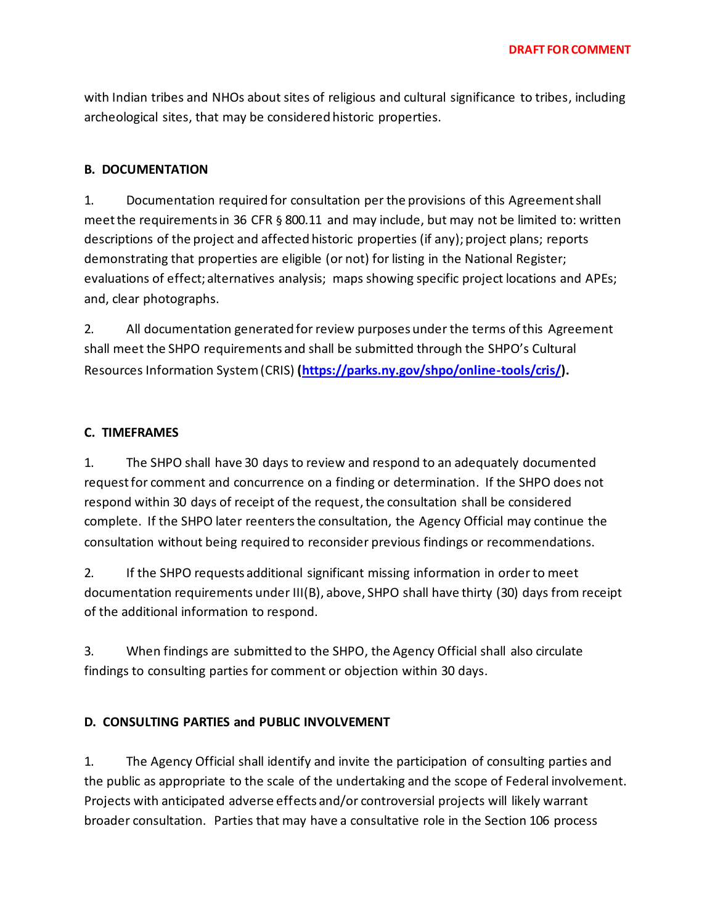with Indian tribes and NHOs about sites of religious and cultural significance to tribes, including archeological sites, that may be considered historic properties.

## **B. DOCUMENTATION**

1. Documentation required for consultation per the provisions of this Agreement shall meet the requirements in 36 CFR § 800.11 and may include, but may not be limited to: written descriptions of the project and affected historic properties (if any); project plans; reports demonstrating that properties are eligible (or not) for listing in the National Register; evaluations of effect; alternatives analysis; maps showing specific project locations and APEs; and, clear photographs.

2. All documentation generated for review purposes under the terms of this Agreement shall meet the SHPO requirements and shall be submitted through the SHPO's Cultural Resources Information System (CRIS) **[\(https://parks.ny.gov/shpo/online-tools/cris/\).](https://parks.ny.gov/shpo/online-tools/cris/)**

# **C. TIMEFRAMES**

1. The SHPO shall have 30 days to review and respond to an adequately documented requestfor comment and concurrence on a finding or determination. If the SHPO does not respond within 30 days of receipt of the request,the consultation shall be considered complete. If the SHPO later reenters the consultation, the Agency Official may continue the consultation without being required to reconsider previous findings or recommendations.

2. If the SHPO requests additional significant missing information in order to meet documentation requirements under III(B), above, SHPO shall have thirty (30) days from receipt of the additional information to respond.

3. When findings are submitted to the SHPO, the Agency Official shall also circulate findings to consulting parties for comment or objection within 30 days.

# **D. CONSULTING PARTIES and PUBLIC INVOLVEMENT**

1. The Agency Official shall identify and invite the participation of consulting parties and the public as appropriate to the scale of the undertaking and the scope of Federal involvement. Projects with anticipated adverse effects and/or controversial projects will likely warrant broader consultation. Parties that may have a consultative role in the Section 106 process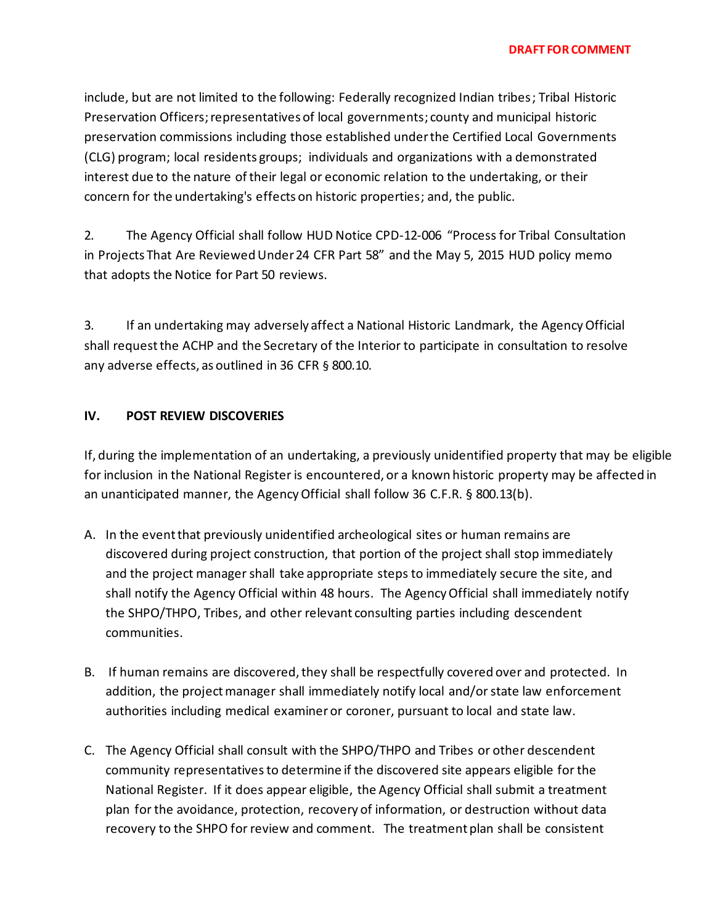include, but are not limited to the following: Federally recognized Indian tribes; Tribal Historic Preservation Officers; representatives of local governments; county and municipal historic preservation commissions including those established under the Certified Local Governments (CLG) program; local residents groups; individuals and organizations with a demonstrated interest due to the nature of their legal or economic relation to the undertaking, or their concern for the undertaking's effects on historic properties; and, the public.

2. The Agency Official shall follow HUD Notice CPD-12-006 "Process for Tribal Consultation in Projects That Are Reviewed Under 24 CFR Part 58" and the May 5, 2015 HUD policy memo that adopts the Notice for Part 50 reviews.

3. If an undertaking may adversely affect a National Historic Landmark, the Agency Official shall request the ACHP and the Secretary of the Interior to participate in consultation to resolve any adverse effects, as outlined in 36 CFR § 800.10.

# **IV. POST REVIEW DISCOVERIES**

If, during the implementation of an undertaking, a previously unidentified property that may be eligible for inclusion in the National Register is encountered, or a known historic property may be affected in an unanticipated manner, the Agency Official shall follow 36 C.F.R. § 800.13(b).

- A. In the event that previously unidentified archeological sites or human remains are discovered during project construction, that portion of the project shall stop immediately and the project manager shall take appropriate steps to immediately secure the site, and shall notify the Agency Official within 48 hours. The Agency Official shall immediately notify the SHPO/THPO, Tribes, and other relevant consulting parties including descendent communities.
- B. If human remains are discovered, they shall be respectfully covered over and protected. In addition, the project manager shall immediately notify local and/or state law enforcement authorities including medical examiner or coroner, pursuant to local and state law.
- C. The Agency Official shall consult with the SHPO/THPO and Tribes or other descendent community representatives to determine if the discovered site appears eligible for the National Register. If it does appear eligible, the Agency Official shall submit a treatment plan for the avoidance, protection, recovery of information, or destruction without data recovery to the SHPO for review and comment. The treatment plan shall be consistent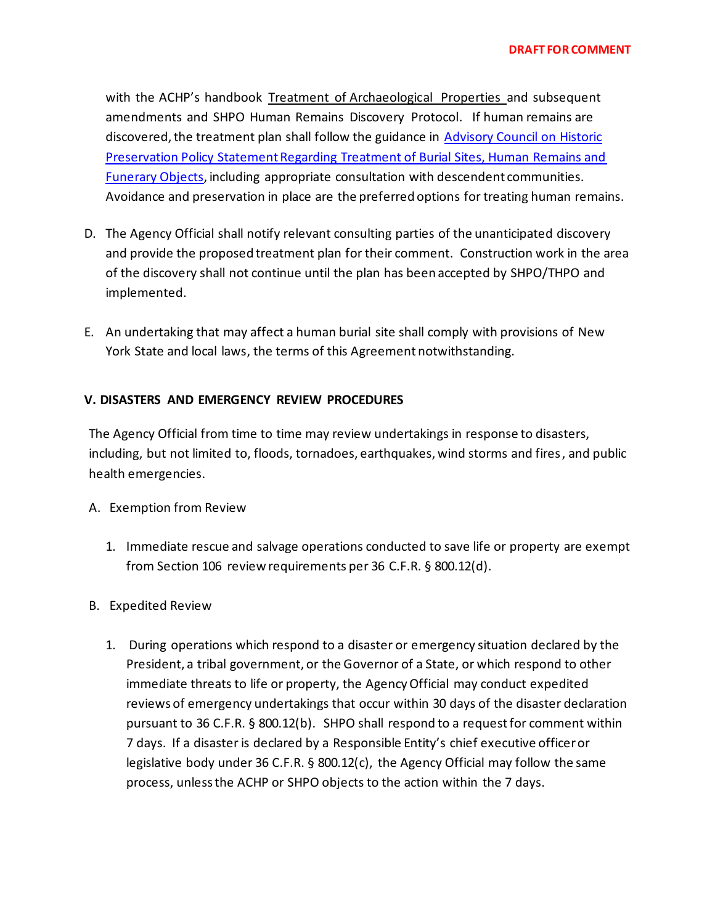with the ACHP's handbook Treatment of Archaeological Properties and subsequent amendments and SHPO Human Remains Discovery Protocol. If human remains are discovered, the treatment plan shall follow the guidance in [Advisory Council on Historic](http://www.achp.gov/docs/hrpolicy0207.pdf)  [Preservation Policy Statement Regarding Treatment of Burial Sites, Human Remains and](http://www.achp.gov/docs/hrpolicy0207.pdf)  [Funerary Objects,](http://www.achp.gov/docs/hrpolicy0207.pdf) including appropriate consultation with descendent communities. Avoidance and preservation in place are the preferred options for treating human remains.

- D. The Agency Official shall notify relevant consulting parties of the unanticipated discovery and provide the proposed treatment plan for their comment. Construction work in the area of the discovery shall not continue until the plan has been accepted by SHPO/THPO and implemented.
- E. An undertaking that may affect a human burial site shall comply with provisions of New York State and local laws, the terms of this Agreement notwithstanding.

# **V. DISASTERS AND EMERGENCY REVIEW PROCEDURES**

The Agency Official from time to time may review undertakings in response to disasters, including, but not limited to, floods, tornadoes, earthquakes, wind storms and fires, and public health emergencies.

- A. Exemption from Review
	- 1. Immediate rescue and salvage operations conducted to save life or property are exempt from Section 106 review requirements per 36 C.F.R. § 800.12(d).
- B. Expedited Review
	- 1. During operations which respond to a disaster or emergency situation declared by the President, a tribal government, or the Governor of a State, or which respond to other immediate threats to life or property, the Agency Official may conduct expedited reviews of emergency undertakings that occur within 30 days of the disaster declaration pursuant to 36 C.F.R. § 800.12(b). SHPO shall respond to a request for comment within 7 days. If a disaster is declared by a Responsible Entity's chief executive officer or legislative body under 36 C.F.R. § 800.12(c), the Agency Official may follow the same process, unless the ACHP or SHPO objects to the action within the 7 days.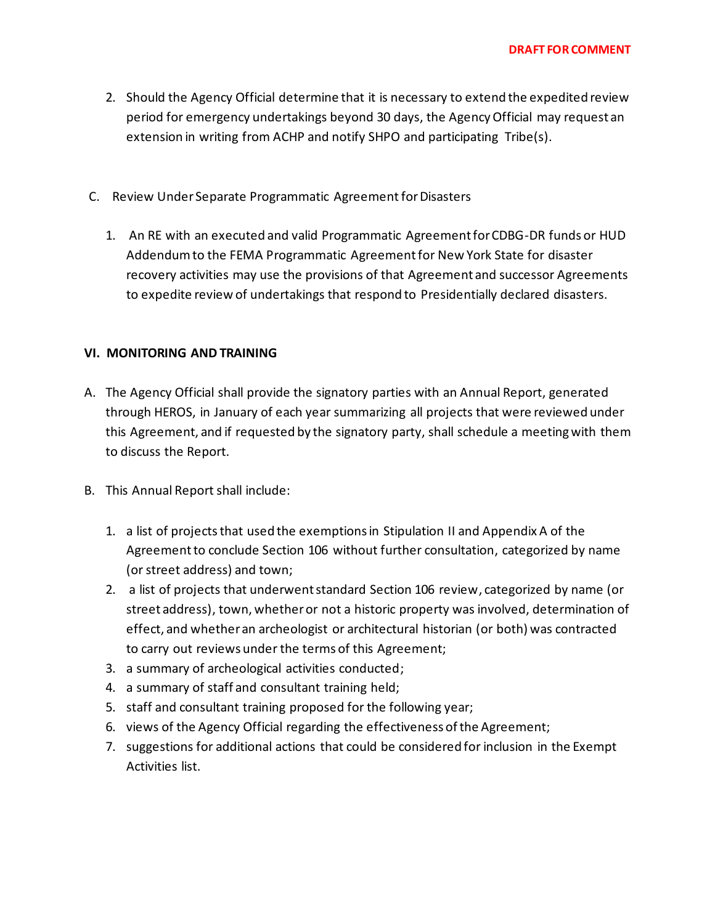- 2. Should the Agency Official determine that it is necessary to extend the expedited review period for emergency undertakings beyond 30 days, the Agency Official may request an extension in writing from ACHP and notify SHPO and participating Tribe(s).
- C. Review Under Separate Programmatic Agreementfor Disasters
	- 1. An RE with an executed and valid Programmatic Agreement for CDBG-DR funds or HUD Addendum to the FEMA Programmatic Agreementfor New York State for disaster recovery activities may use the provisions of that Agreement and successor Agreements to expedite review of undertakings that respond to Presidentially declared disasters.

## **VI. MONITORING AND TRAINING**

- A. The Agency Official shall provide the signatory parties with an Annual Report, generated through HEROS, in January of each year summarizing all projects that were reviewed under this Agreement, and if requested by the signatory party, shall schedule a meeting with them to discuss the Report.
- B. This Annual Report shall include:
	- 1. a list of projects that used the exemptions in Stipulation II and Appendix A of the Agreement to conclude Section 106 without further consultation, categorized by name (or street address) and town;
	- 2. a list of projects that underwent standard Section 106 review, categorized by name (or street address), town, whether or not a historic property was involved, determination of effect, and whether an archeologist or architectural historian (or both) was contracted to carry out reviews under the terms of this Agreement;
	- 3. a summary of archeological activities conducted;
	- 4. a summary of staff and consultant training held;
	- 5. staff and consultant training proposed for the following year;
	- 6. views of the Agency Official regarding the effectiveness of the Agreement;
	- 7. suggestions for additional actions that could be considered for inclusion in the Exempt Activities list.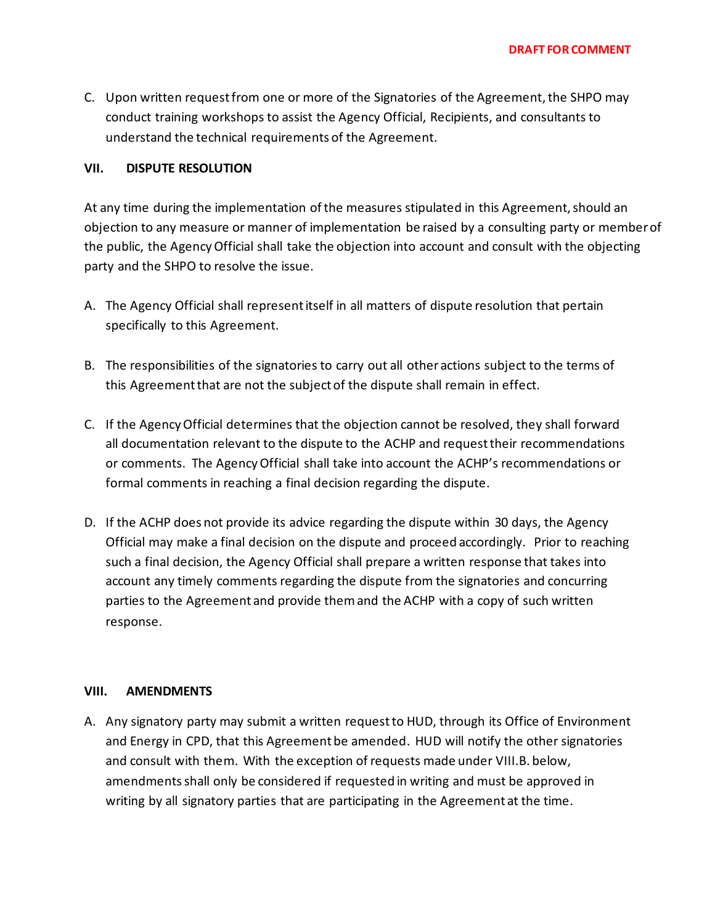C. Upon written request from one or more of the Signatories of the Agreement, the SHPO may conduct training workshops to assist the Agency Official, Recipients, and consultants to understand the technical requirements of the Agreement.

## **VII. DISPUTE RESOLUTION**

At any time during the implementation of the measures stipulated in this Agreement, should an objection to any measure or manner of implementation be raised by a consulting party or member of the public, the Agency Official shall take the objection into account and consult with the objecting party and the SHPO to resolve the issue.

- A. The Agency Official shall represent itself in all matters of dispute resolution that pertain specifically to this Agreement.
- B. The responsibilities of the signatories to carry out all other actions subject to the terms of this Agreement that are not the subject of the dispute shall remain in effect.
- C. If the Agency Official determines that the objection cannot be resolved, they shall forward all documentation relevant to the dispute to the ACHP and request their recommendations or comments. The Agency Official shall take into account the ACHP's recommendations or formal comments in reaching a final decision regarding the dispute.
- D. If the ACHP does not provide its advice regarding the dispute within 30 days, the Agency Official may make a final decision on the dispute and proceed accordingly. Prior to reaching such a final decision, the Agency Official shall prepare a written response that takes into account any timely comments regarding the dispute from the signatories and concurring parties to the Agreement and provide them and the ACHP with a copy of such written response.

### **VIII. AMENDMENTS**

A. Any signatory party may submit a written request to HUD, through its Office of Environment and Energy in CPD, that this Agreement be amended. HUD will notify the other signatories and consult with them. With the exception of requests made under VIII.B. below, amendments shall only be considered if requested in writing and must be approved in writing by all signatory parties that are participating in the Agreement at the time.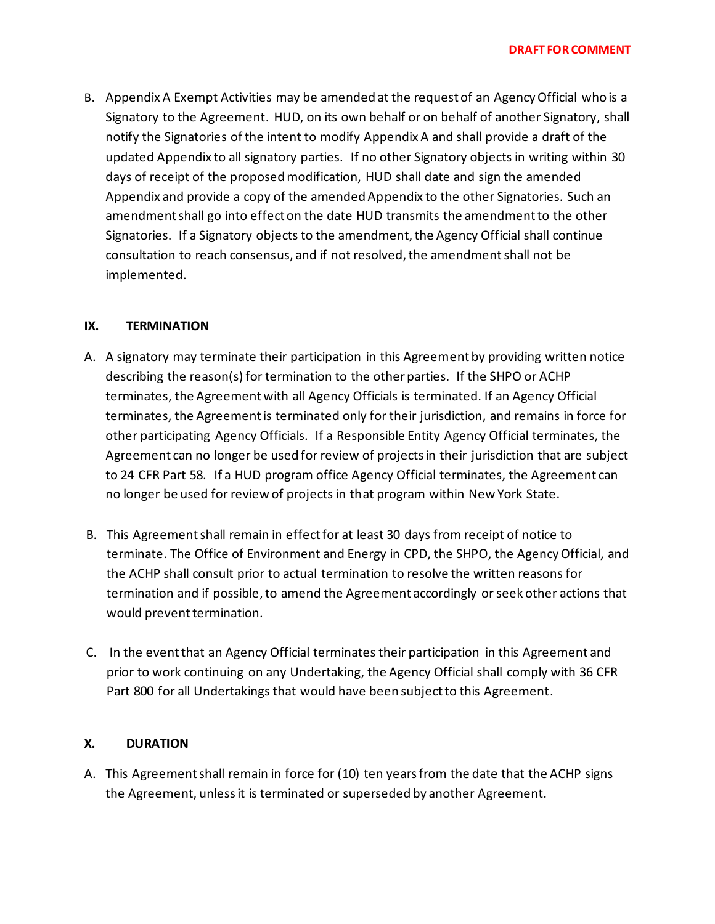B. Appendix A Exempt Activities may be amended at the request of an Agency Official who is a Signatory to the Agreement. HUD, on its own behalf or on behalf of another Signatory, shall notify the Signatories of the intent to modify Appendix A and shall provide a draft of the updated Appendix to all signatory parties. If no other Signatory objects in writing within 30 days of receipt of the proposed modification, HUD shall date and sign the amended Appendix and provide a copy of the amended Appendix to the other Signatories. Such an amendment shall go into effect on the date HUD transmits the amendment to the other Signatories. If a Signatory objects to the amendment, the Agency Official shall continue consultation to reach consensus, and if not resolved, the amendment shall not be implemented.

## **IX. TERMINATION**

- A. A signatory may terminate their participation in this Agreement by providing written notice describing the reason(s) for termination to the other parties. If the SHPO or ACHP terminates, the Agreement with all Agency Officials is terminated. If an Agency Official terminates, the Agreement is terminated only for their jurisdiction, and remains in force for other participating Agency Officials. If a Responsible Entity Agency Official terminates, the Agreement can no longer be used for review of projects in their jurisdiction that are subject to 24 CFR Part 58. If a HUD program office Agency Official terminates, the Agreement can no longer be used for review of projects in that program within New York State.
- B. This Agreementshall remain in effect for at least 30 days from receipt of notice to terminate. The Office of Environment and Energy in CPD, the SHPO, the Agency Official, and the ACHP shall consult prior to actual termination to resolve the written reasons for termination and if possible, to amend the Agreement accordingly or seek other actions that would prevent termination.
- C. In the event that an Agency Official terminates their participation in this Agreement and prior to work continuing on any Undertaking, the Agency Official shall comply with 36 CFR Part 800 for all Undertakings that would have been subject to this Agreement.

### **X. DURATION**

A. This Agreement shall remain in force for (10) ten years from the date that the ACHP signs the Agreement, unless it is terminated or superseded by another Agreement.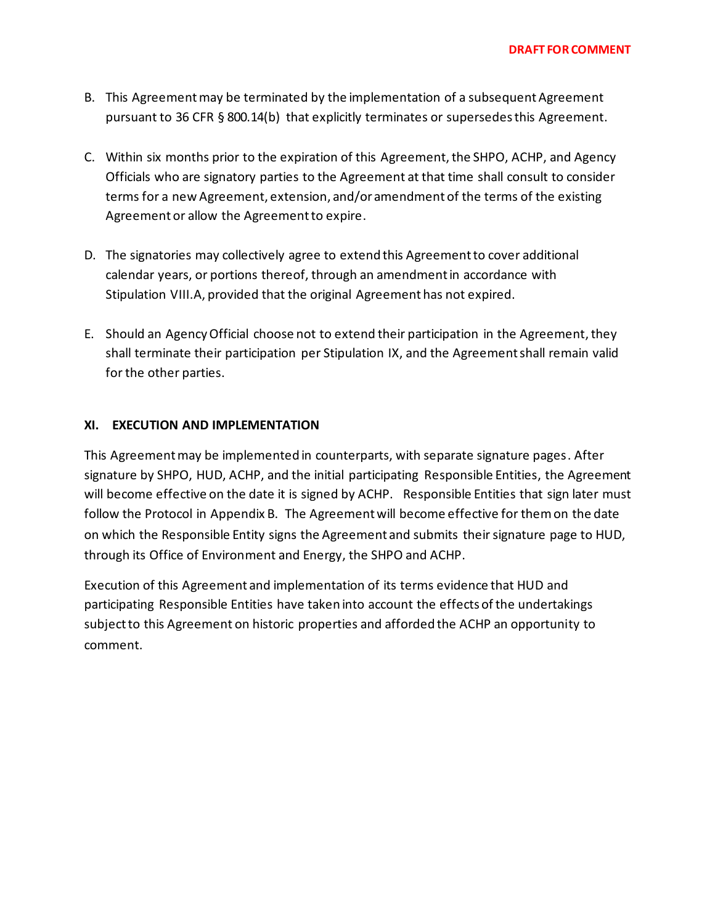- B. This Agreement may be terminated by the implementation of a subsequent Agreement pursuant to 36 CFR § 800.14(b) that explicitly terminates or supersedes this Agreement.
- C. Within six months prior to the expiration of this Agreement, the SHPO, ACHP, and Agency Officials who are signatory parties to the Agreement at that time shall consult to consider terms for a new Agreement, extension, and/or amendment of the terms of the existing Agreement or allow the Agreement to expire.
- D. The signatories may collectively agree to extend this Agreement to cover additional calendar years, or portions thereof, through an amendment in accordance with Stipulation VIII.A, provided that the original Agreement has not expired.
- E. Should an Agency Official choose not to extend their participation in the Agreement, they shall terminate their participation per Stipulation IX, and the Agreement shall remain valid for the other parties.

## **XI. EXECUTION AND IMPLEMENTATION**

This Agreement may be implemented in counterparts, with separate signature pages. After signature by SHPO, HUD, ACHP, and the initial participating Responsible Entities, the Agreement will become effective on the date it is signed by ACHP. Responsible Entities that sign later must follow the Protocol in Appendix B. The Agreement will become effective for themon the date on which the Responsible Entity signs the Agreement and submits their signature page to HUD, through its Office of Environment and Energy, the SHPO and ACHP.

Execution of this Agreement and implementation of its terms evidence that HUD and participating Responsible Entities have taken into account the effects of the undertakings subject to this Agreement on historic properties and afforded the ACHP an opportunity to comment.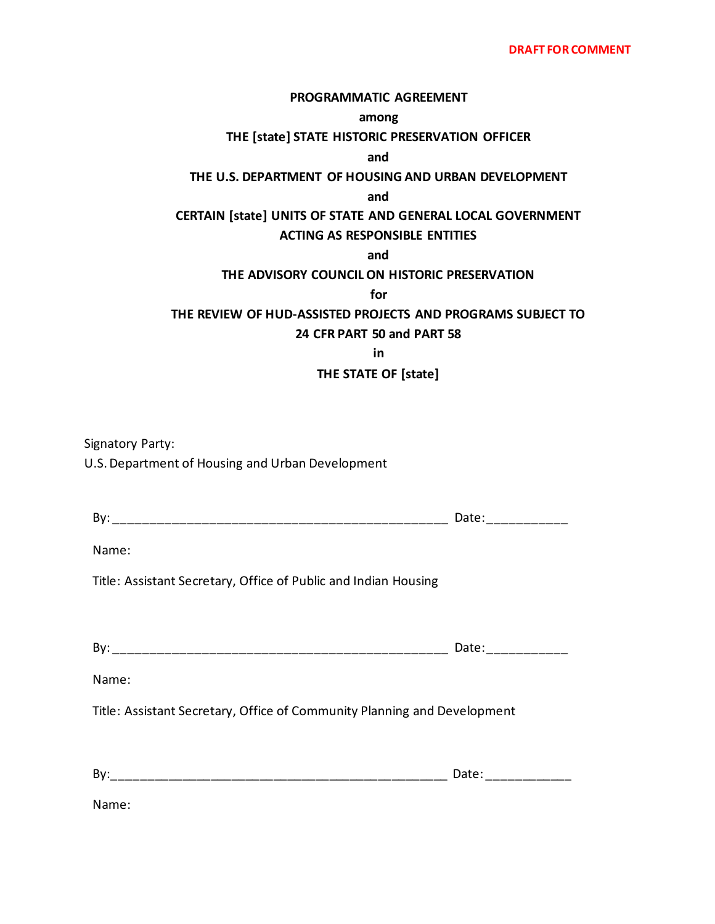### **PROGRAMMATIC AGREEMENT**

### **among**

### **THE [state] STATE HISTORIC PRESERVATION OFFICER**

### **and**

## **THE U.S. DEPARTMENT OF HOUSING AND URBAN DEVELOPMENT**

### **and**

# **CERTAIN [state] UNITS OF STATE AND GENERAL LOCAL GOVERNMENT**

## **ACTING AS RESPONSIBLE ENTITIES**

### **and**

## **THE ADVISORY COUNCIL ON HISTORIC PRESERVATION**

## **for**

# **THE REVIEW OF HUD-ASSISTED PROJECTS AND PROGRAMS SUBJECT TO**

# **24 CFR PART 50 and PART 58**

**in**

### **THE STATE OF [state]**

Signatory Party:

U.S. Department of Housing and Urban Development

|                                                                 | Date:<br><u> 2000 - 2000 - 2000 - 2000 - 2000 - 2000 - 2000 - 2000 - 2000 - 2000 - 2000 - 2000 - 2000 - 2000 - 2000 - 200</u> |
|-----------------------------------------------------------------|-------------------------------------------------------------------------------------------------------------------------------|
| Name:                                                           |                                                                                                                               |
| Title: Assistant Secretary, Office of Public and Indian Housing |                                                                                                                               |
|                                                                 |                                                                                                                               |
| By:                                                             | Date:                                                                                                                         |
| Name:                                                           |                                                                                                                               |

Title: Assistant Secretary, Office of Community Planning and Development

| R۷<br>ັ |                                                                                                                                                                                                                                                          |                                                                                                                                                                                                                                                             |
|---------|----------------------------------------------------------------------------------------------------------------------------------------------------------------------------------------------------------------------------------------------------------|-------------------------------------------------------------------------------------------------------------------------------------------------------------------------------------------------------------------------------------------------------------|
|         | ________<br><u> The Common Section of the Common Section of the Common Section of the Common Section of the Common Section of the Common Section of the Common Section of the Common Section of the Common Section of the Common Section of </u><br>____ | _____<br><u> The Communication of the Communication of the Communication of the Communication of the Communication of the Communication of the Communication of the Communication of the Communication of the Communication of the Commun</u><br>____<br>__ |

Name: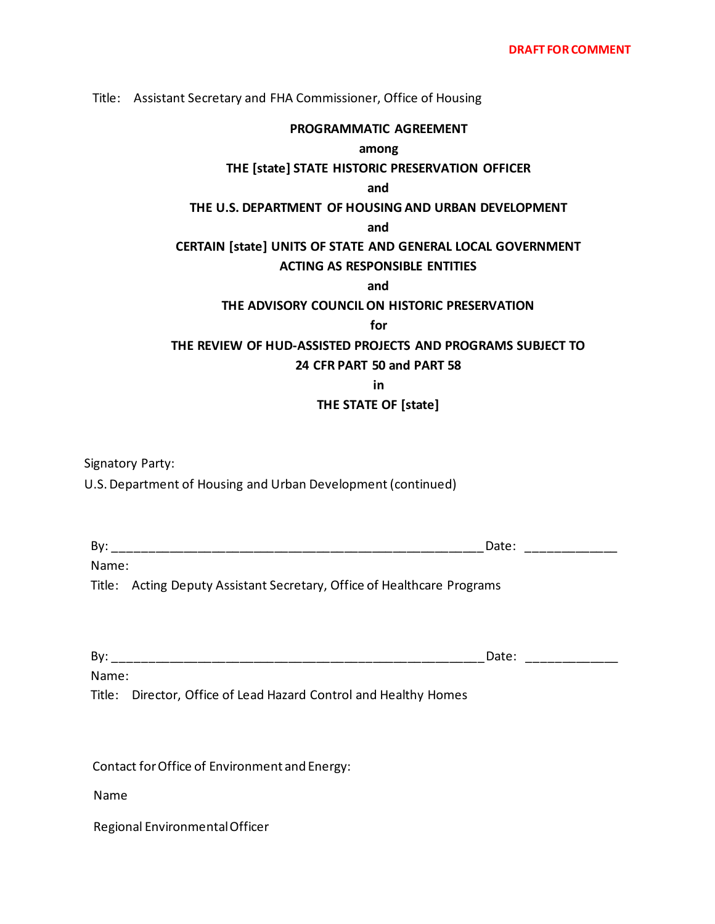Title: Assistant Secretary and FHA Commissioner, Office of Housing

### **PROGRAMMATIC AGREEMENT**

### **among**

### **THE [state] STATE HISTORIC PRESERVATION OFFICER**

# **and**

### **THE U.S. DEPARTMENT OF HOUSING AND URBAN DEVELOPMENT**

### **and**

## **CERTAIN [state] UNITS OF STATE AND GENERAL LOCAL GOVERNMENT**

## **ACTING AS RESPONSIBLE ENTITIES**

### **and**

## **THE ADVISORY COUNCIL ON HISTORIC PRESERVATION**

## **for**

# **THE REVIEW OF HUD-ASSISTED PROJECTS AND PROGRAMS SUBJECT TO**

## **24 CFR PART 50 and PART 58**

**in**

## **THE STATE OF [state]**

Signatory Party:

U.S. Department of Housing and Urban Development (continued)

| י<br>___ | __<br>___<br>__ |
|----------|-----------------|
|          |                 |

Title: Acting Deputy Assistant Secretary, Office of Healthcare Programs

| ັ                 | --<br>--- |
|-------------------|-----------|
| M<br>- 111 L<br>. |           |

Title: Director, Office of Lead Hazard Control and Healthy Homes

Contact for Office of Environment and Energy:

Name

Regional Environmental Officer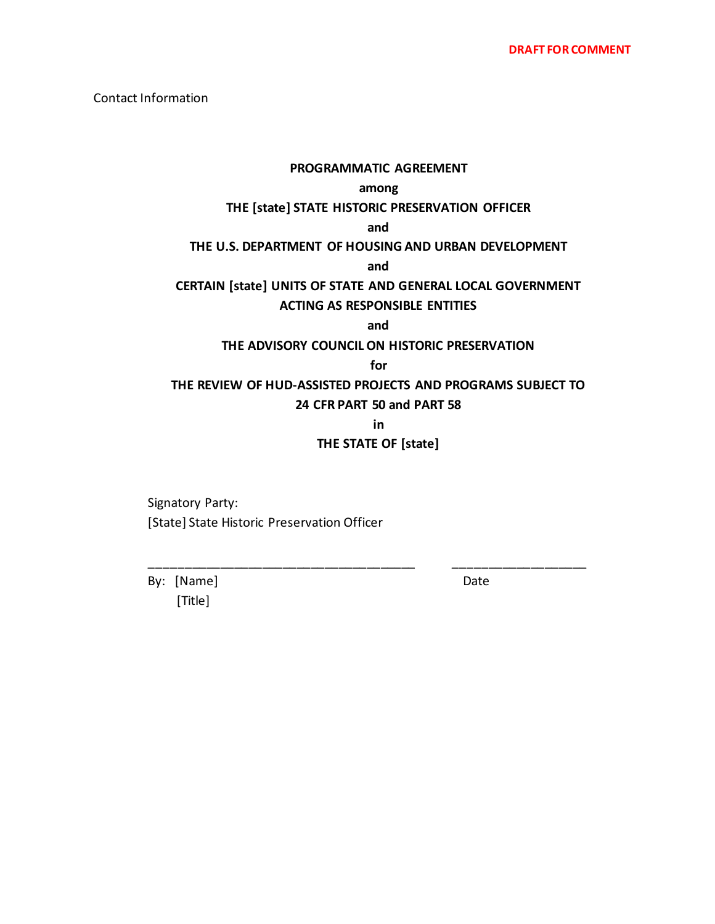Contact Information

# **PROGRAMMATIC AGREEMENT among THE [state] STATE HISTORIC PRESERVATION OFFICER and THE U.S. DEPARTMENT OF HOUSING AND URBAN DEVELOPMENT and CERTAIN [state] UNITS OF STATE AND GENERAL LOCAL GOVERNMENT ACTING AS RESPONSIBLE ENTITIES and THE ADVISORY COUNCIL ON HISTORIC PRESERVATION for THE REVIEW OF HUD-ASSISTED PROJECTS AND PROGRAMS SUBJECT TO 24 CFR PART 50 and PART 58 in THE STATE OF [state]**

\_\_\_\_\_\_\_\_\_\_\_\_\_\_\_\_\_\_\_\_\_\_\_\_\_\_\_\_\_\_\_\_\_\_\_\_\_\_ \_\_\_\_\_\_\_\_\_\_\_\_\_\_\_\_\_\_\_

Signatory Party: [State] State Historic Preservation Officer

By: [Name] Date [Title]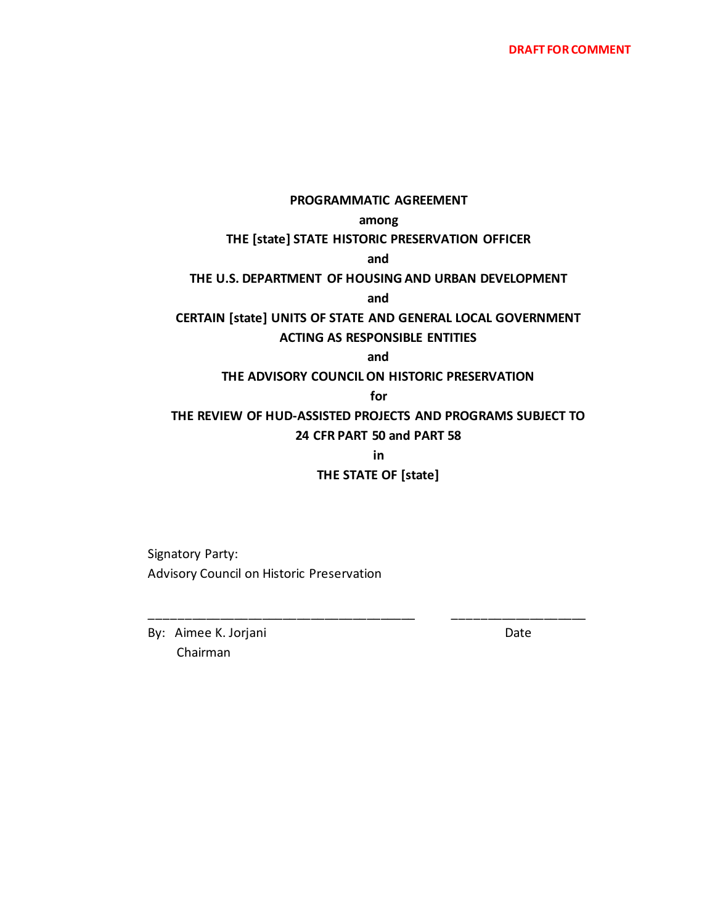### **PROGRAMMATIC AGREEMENT**

## **among**

## **THE [state] STATE HISTORIC PRESERVATION OFFICER**

**and**

# **THE U.S. DEPARTMENT OF HOUSING AND URBAN DEVELOPMENT**

**and**

# **CERTAIN [state] UNITS OF STATE AND GENERAL LOCAL GOVERNMENT**

## **ACTING AS RESPONSIBLE ENTITIES**

**and**

### **THE ADVISORY COUNCIL ON HISTORIC PRESERVATION**

### **for**

# **THE REVIEW OF HUD-ASSISTED PROJECTS AND PROGRAMS SUBJECT TO 24 CFR PART 50 and PART 58**

## **in**

## **THE STATE OF [state]**

\_\_\_\_\_\_\_\_\_\_\_\_\_\_\_\_\_\_\_\_\_\_\_\_\_\_\_\_\_\_\_\_\_\_\_\_\_\_ \_\_\_\_\_\_\_\_\_\_\_\_\_\_\_\_\_\_\_

Signatory Party: Advisory Council on Historic Preservation

By: Aimee K. Jorjani Date Chairman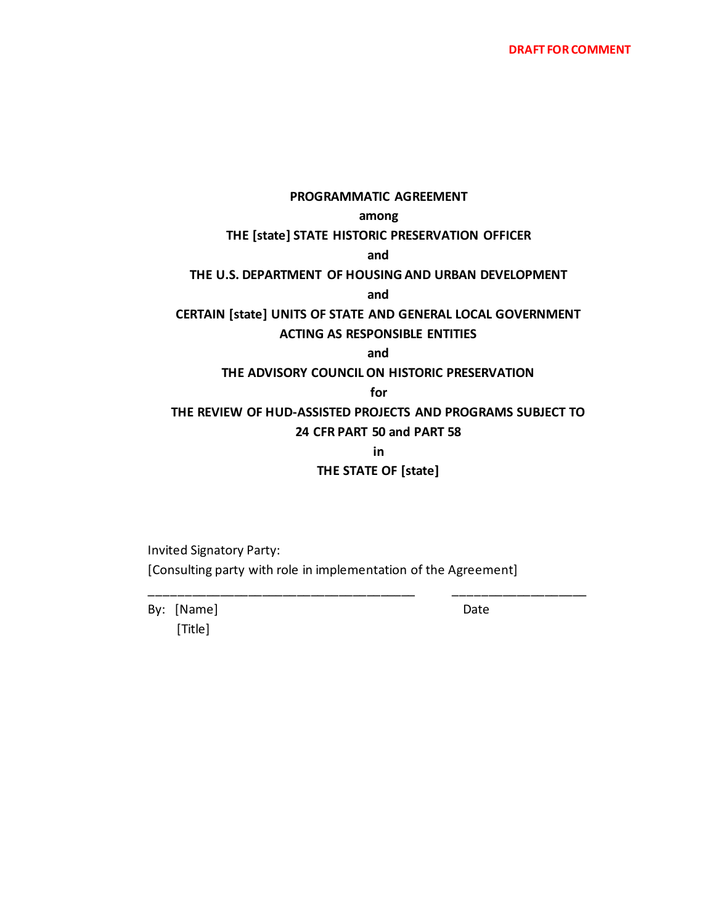# **PROGRAMMATIC AGREEMENT among THE [state] STATE HISTORIC PRESERVATION OFFICER and THE U.S. DEPARTMENT OF HOUSING AND URBAN DEVELOPMENT and CERTAIN [state] UNITS OF STATE AND GENERAL LOCAL GOVERNMENT ACTING AS RESPONSIBLE ENTITIES and THE ADVISORY COUNCIL ON HISTORIC PRESERVATION for THE REVIEW OF HUD-ASSISTED PROJECTS AND PROGRAMS SUBJECT TO 24 CFR PART 50 and PART 58 in THE STATE OF [state]**

Invited Signatory Party: [Consulting party with role in implementation of the Agreement]

\_\_\_\_\_\_\_\_\_\_\_\_\_\_\_\_\_\_\_\_\_\_\_\_\_\_\_\_\_\_\_\_\_\_\_\_\_\_ \_\_\_\_\_\_\_\_\_\_\_\_\_\_\_\_\_\_\_

By: [Name] Date

[Title]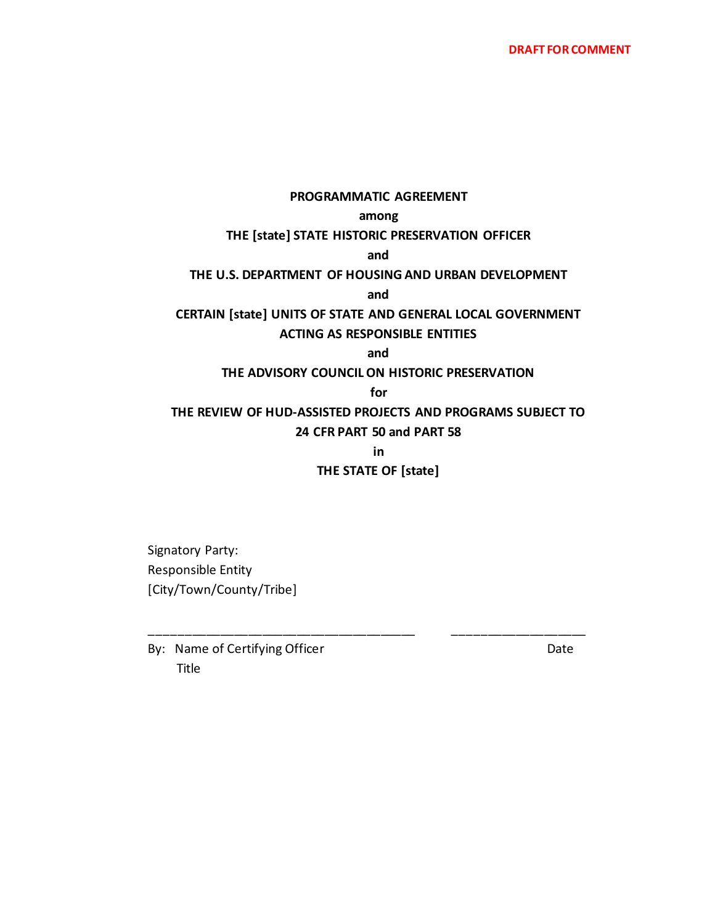#### **PROGRAMMATIC AGREEMENT**

### **among**

### **THE [state] STATE HISTORIC PRESERVATION OFFICER**

### **and**

## **THE U.S. DEPARTMENT OF HOUSING AND URBAN DEVELOPMENT**

### **and**

# **CERTAIN [state] UNITS OF STATE AND GENERAL LOCAL GOVERNMENT ACTING AS RESPONSIBLE ENTITIES**

### **and**

### **THE ADVISORY COUNCIL ON HISTORIC PRESERVATION**

### **for**

# **THE REVIEW OF HUD-ASSISTED PROJECTS AND PROGRAMS SUBJECT TO 24 CFR PART 50 and PART 58**

## **in**

## **THE STATE OF [state]**

\_\_\_\_\_\_\_\_\_\_\_\_\_\_\_\_\_\_\_\_\_\_\_\_\_\_\_\_\_\_\_\_\_\_\_\_\_\_ \_\_\_\_\_\_\_\_\_\_\_\_\_\_\_\_\_\_\_

Signatory Party: Responsible Entity [City/Town/County/Tribe]

By: Name of Certifying Officer **Date** Date Title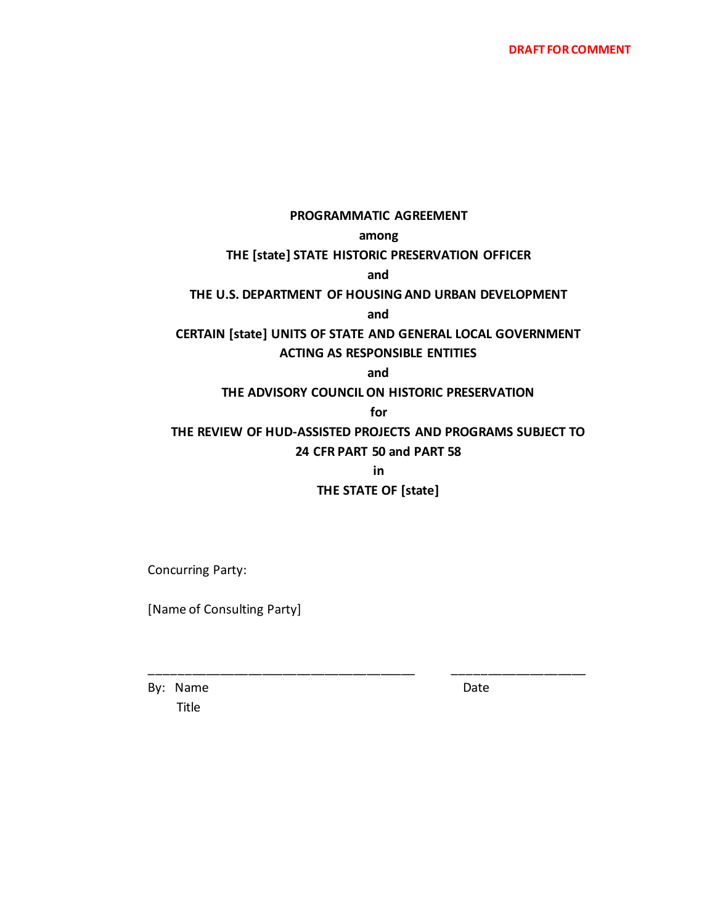# **PROGRAMMATIC AGREEMENT among THE [state] STATE HISTORIC PRESERVATION OFFICER and THE U.S. DEPARTMENT OF HOUSING AND URBAN DEVELOPMENT and CERTAIN [state] UNITS OF STATE AND GENERAL LOCAL GOVERNMENT ACTING AS RESPONSIBLE ENTITIES and THE ADVISORY COUNCIL ON HISTORIC PRESERVATION for THE REVIEW OF HUD-ASSISTED PROJECTS AND PROGRAMS SUBJECT TO 24 CFR PART 50 and PART 58 in**

**THE STATE OF [state]**

\_\_\_\_\_\_\_\_\_\_\_\_\_\_\_\_\_\_\_\_\_\_\_\_\_\_\_\_\_\_\_\_\_\_\_\_\_\_ \_\_\_\_\_\_\_\_\_\_\_\_\_\_\_\_\_\_\_

Concurring Party:

[Name of Consulting Party]

By: Name Date Title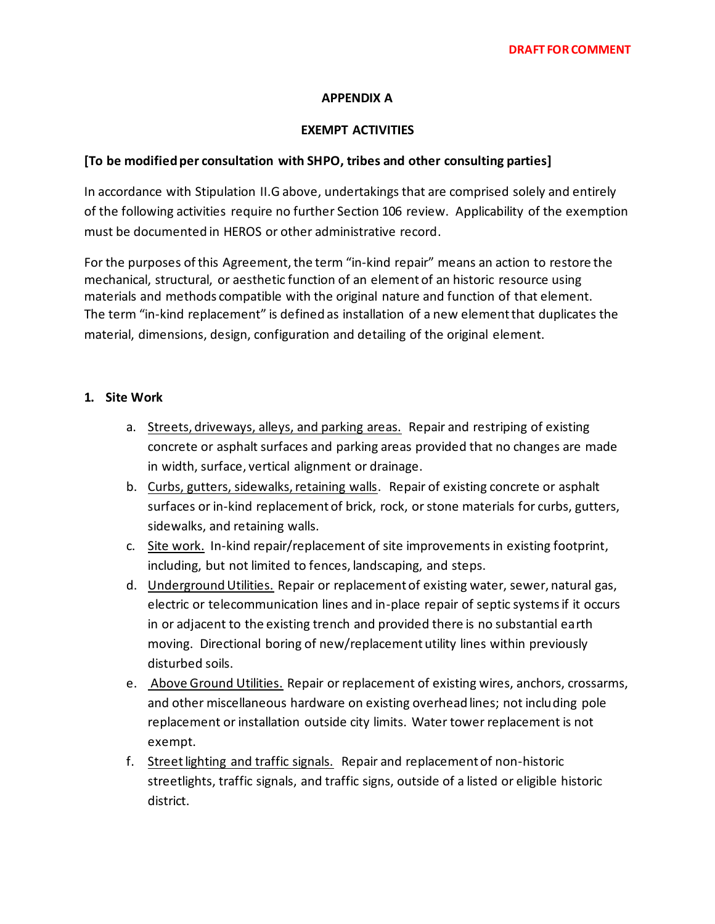## **APPENDIX A**

## **EXEMPT ACTIVITIES**

## **[To be modified per consultation with SHPO, tribes and other consulting parties]**

In accordance with Stipulation II.G above, undertakings that are comprised solely and entirely of the following activities require no further Section 106 review. Applicability of the exemption must be documented in HEROS or other administrative record.

For the purposes of this Agreement, the term "in-kind repair" means an action to restore the mechanical, structural, or aesthetic function of an element of an historic resource using materials and methods compatible with the original nature and function of that element. The term "in-kind replacement" is defined as installation of a new element that duplicates the material, dimensions, design, configuration and detailing of the original element.

## **1. Site Work**

- a. Streets, driveways, alleys, and parking areas. Repair and restriping of existing concrete or asphalt surfaces and parking areas provided that no changes are made in width, surface, vertical alignment or drainage.
- b. Curbs, gutters, sidewalks, retaining walls. Repair of existing concrete or asphalt surfaces or in-kind replacement of brick, rock, or stone materials for curbs, gutters, sidewalks, and retaining walls.
- c. Site work. In-kind repair/replacement of site improvementsin existing footprint, including, but not limited to fences, landscaping, and steps.
- d. Underground Utilities. Repair or replacement of existing water, sewer, natural gas, electric or telecommunication lines and in-place repair of septic systems if it occurs in or adjacent to the existing trench and provided there is no substantial earth moving. Directional boring of new/replacement utility lines within previously disturbed soils.
- e. Above Ground Utilities. Repair or replacement of existing wires, anchors, crossarms, and other miscellaneous hardware on existing overhead lines; not including pole replacement or installation outside city limits. Water tower replacement is not exempt.
- f. Street lighting and traffic signals. Repair and replacement of non-historic streetlights, traffic signals, and traffic signs, outside of a listed or eligible historic district.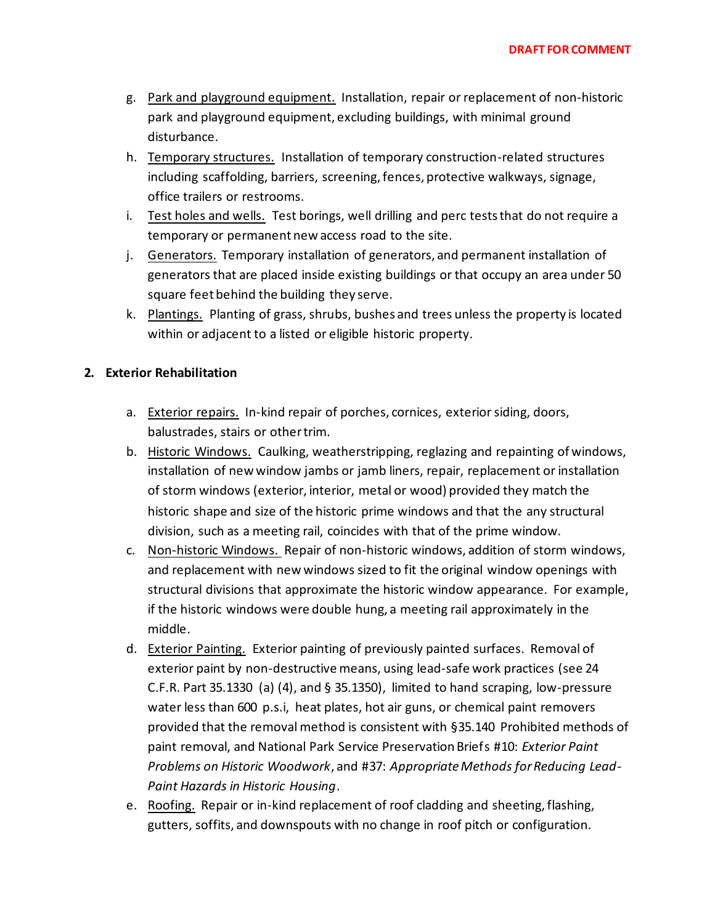- g. Park and playground equipment. Installation, repair or replacement of non-historic park and playground equipment, excluding buildings, with minimal ground disturbance.
- h. Temporary structures. Installation of temporary construction-related structures including scaffolding, barriers, screening, fences, protective walkways, signage, office trailers or restrooms.
- i. Test holes and wells. Test borings, well drilling and perc tests that do not require a temporary or permanent new access road to the site.
- j. Generators. Temporary installation of generators, and permanent installation of generators that are placed inside existing buildings or that occupy an area under 50 square feet behind the building they serve.
- k. Plantings. Planting of grass, shrubs, bushes and trees unless the property is located within or adjacent to a listed or eligible historic property.

# **2. Exterior Rehabilitation**

- a. Exterior repairs. In-kind repair of porches, cornices, exterior siding, doors, balustrades, stairs or other trim.
- b. Historic Windows. Caulking, weatherstripping, reglazing and repainting of windows, installation of new window jambs or jamb liners, repair, replacement or installation of storm windows (exterior, interior, metal or wood) provided they match the historic shape and size of the historic prime windows and that the any structural division, such as a meeting rail, coincides with that of the prime window.
- c. Non-historic Windows. Repair of non-historic windows, addition of storm windows, and replacement with new windows sized to fit the original window openings with structural divisions that approximate the historic window appearance. For example, if the historic windows were double hung, a meeting rail approximately in the middle.
- d. Exterior Painting. Exterior painting of previously painted surfaces. Removal of exterior paint by non-destructive means, using lead-safe work practices (see 24 C.F.R. Part 35.1330 (a) (4), and § 35.1350), limited to hand scraping, low-pressure water less than 600 p.s.i, heat plates, hot air guns, or chemical paint removers provided that the removal method is consistent with §35.140 Prohibited methods of paint removal, and National Park Service Preservation Briefs #10: *Exterior Paint Problems on Historic Woodwork*, and #37: *Appropriate Methods for Reducing Lead-Paint Hazards in Historic Housing*.
- e. Roofing. Repair or in-kind replacement of roof cladding and sheeting, flashing, gutters, soffits, and downspouts with no change in roof pitch or configuration.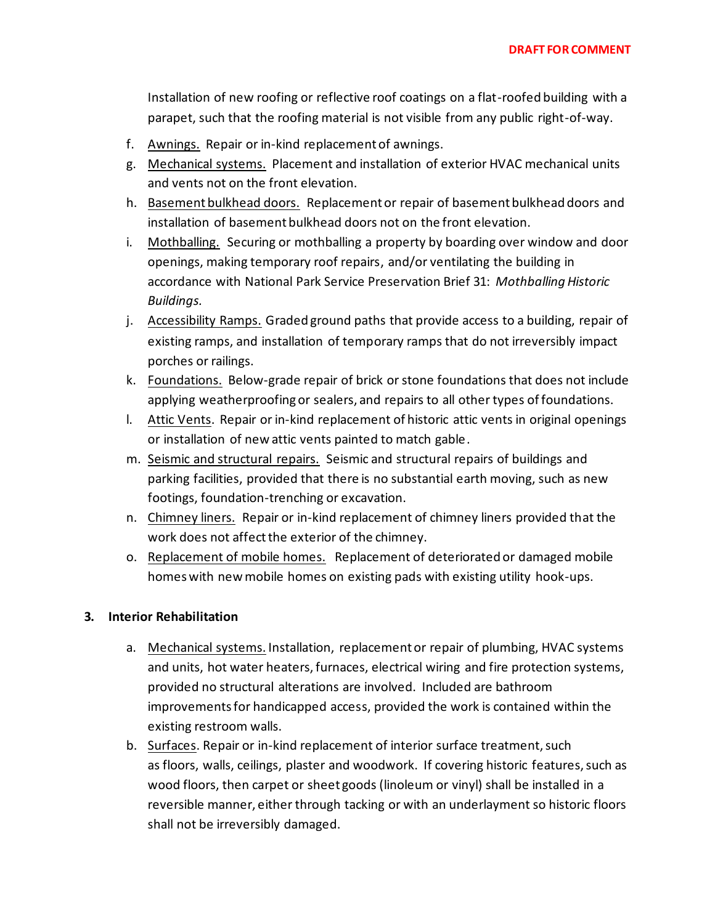Installation of new roofing or reflective roof coatings on a flat-roofed building with a parapet, such that the roofing material is not visible from any public right-of-way.

- f. Awnings. Repair or in-kind replacement of awnings.
- g. Mechanical systems. Placement and installation of exterior HVAC mechanical units and vents not on the front elevation.
- h. Basement bulkhead doors. Replacement or repair of basement bulkhead doors and installation of basement bulkhead doors not on the front elevation.
- i. Mothballing. Securing or mothballing a property by boarding over window and door openings, making temporary roof repairs, and/or ventilating the building in accordance with National Park Service Preservation Brief 31: *Mothballing Historic Buildings.*
- j. Accessibility Ramps. Graded ground paths that provide access to a building, repair of existing ramps, and installation of temporary ramps that do not irreversibly impact porches or railings.
- k. Foundations. Below-grade repair of brick or stone foundations that does not include applying weatherproofing or sealers, and repairs to all other types of foundations.
- l. Attic Vents. Repair or in-kind replacement of historic attic vents in original openings or installation of new attic vents painted to match gable.
- m. Seismic and structural repairs. Seismic and structural repairs of buildings and parking facilities, provided that there is no substantial earth moving, such as new footings, foundation-trenching or excavation.
- n. Chimney liners. Repair or in-kind replacement of chimney liners provided that the work does not affect the exterior of the chimney.
- o. Replacement of mobile homes. Replacement of deteriorated or damaged mobile homes with new mobile homes on existing pads with existing utility hook-ups.

# **3. Interior Rehabilitation**

- a. Mechanical systems. Installation, replacement or repair of plumbing, HVAC systems and units, hot water heaters, furnaces, electrical wiring and fire protection systems, provided no structural alterations are involved. Included are bathroom improvements for handicapped access, provided the work is contained within the existing restroom walls.
- b. Surfaces. Repair or in-kind replacement of interior surface treatment, such as floors, walls, ceilings, plaster and woodwork. If covering historic features, such as wood floors, then carpet or sheet goods (linoleum or vinyl) shall be installed in a reversible manner, either through tacking or with an underlayment so historic floors shall not be irreversibly damaged.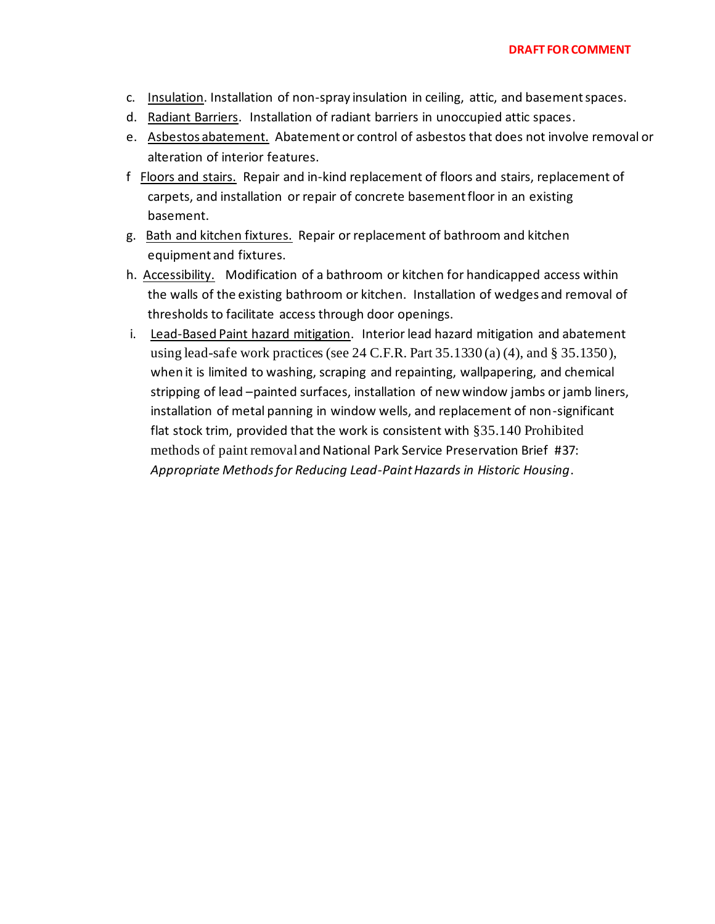- c. Insulation. Installation of non-spray insulation in ceiling, attic, and basement spaces.
- d. Radiant Barriers. Installation of radiant barriers in unoccupied attic spaces.
- e. Asbestos abatement. Abatement or control of asbestos that does not involve removal or alteration of interior features.
- f Floors and stairs. Repair and in-kind replacement of floors and stairs, replacement of carpets, and installation or repair of concrete basement floor in an existing basement.
- g. Bath and kitchen fixtures. Repair or replacement of bathroom and kitchen equipment and fixtures.
- h. Accessibility. Modification of a bathroom or kitchen for handicapped access within the walls of the existing bathroom or kitchen. Installation of wedges and removal of thresholds to facilitate access through door openings.
- i. Lead-Based Paint hazard mitigation. Interior lead hazard mitigation and abatement using lead-safe work practices (see 24 C.F.R. Part 35.1330 (a) (4), and § 35.1350), when it is limited to washing, scraping and repainting, wallpapering, and chemical stripping of lead –painted surfaces, installation of new window jambs or jamb liners, installation of metal panning in window wells, and replacement of non-significant flat stock trim, provided that the work is consistent with §35.140 Prohibited methods of paint removal and National Park Service Preservation Brief #37: *Appropriate Methods for Reducing Lead-Paint Hazards in Historic Housing*.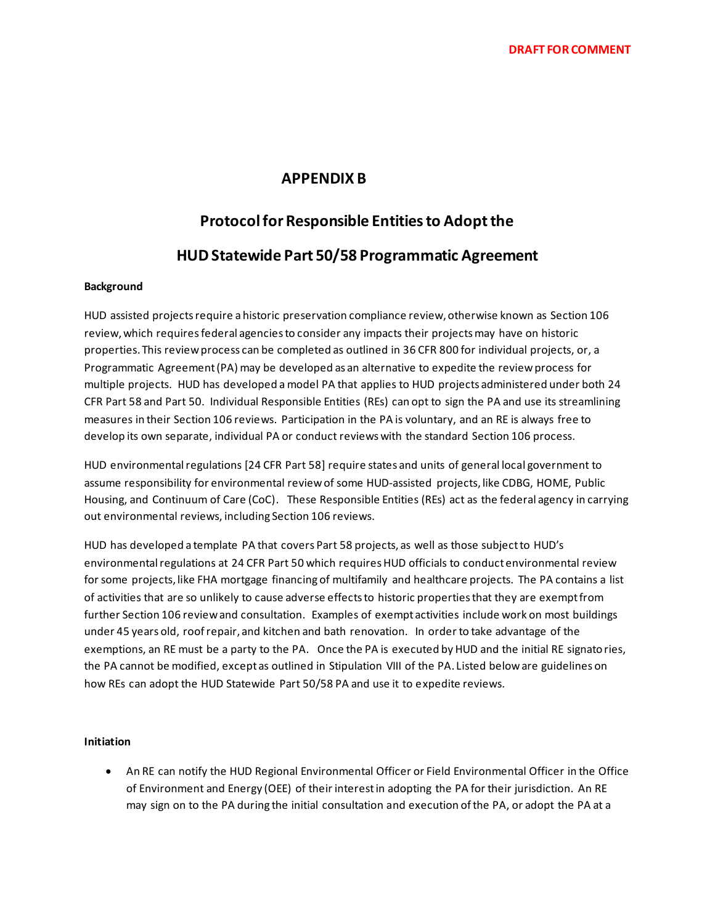## **APPENDIX B**

# **Protocol for Responsible Entities to Adopt the**

# **HUD Statewide Part 50/58 Programmatic Agreement**

#### **Background**

HUD assisted projects require a historic preservation compliance review, otherwise known as Section 106 review, which requiresfederal agencies to consider any impacts their projects may have on historic properties. This review process can be completed as outlined in 36 CFR 800 for individual projects, or, a Programmatic Agreement (PA) may be developed as an alternative to expedite the review process for multiple projects. HUD has developed a model PA that applies to HUD projects administered under both 24 CFR Part 58 and Part 50. Individual Responsible Entities (REs) can opt to sign the PA and use its streamlining measures in their Section 106 reviews. Participation in the PA is voluntary, and an RE is always free to develop its own separate, individual PA or conduct reviews with the standard Section 106 process.

HUD environmental regulations [24 CFR Part 58] require states and units of general local government to assume responsibility for environmental review of some HUD-assisted projects, like CDBG, HOME, Public Housing, and Continuum of Care (CoC). These Responsible Entities (REs) act as the federal agency in carrying out environmental reviews, including Section 106 reviews.

HUD has developed a template PA that covers Part 58 projects, as well as those subject to HUD's environmental regulations at 24 CFR Part 50 which requires HUD officials to conduct environmental review for some projects, like FHA mortgage financing of multifamily and healthcare projects. The PA contains a list of activities that are so unlikely to cause adverse effects to historic properties that they are exempt from further Section 106 review and consultation. Examples of exempt activities include work on most buildings under 45 years old, roof repair, and kitchen and bath renovation. In order to take advantage of the exemptions, an RE must be a party to the PA. Once the PA is executed by HUD and the initial RE signatories, the PA cannot be modified, except as outlined in Stipulation VIII of the PA. Listed below are guidelines on how REs can adopt the HUD Statewide Part 50/58 PA and use it to expedite reviews.

#### **Initiation**

• An RE can notify the HUD Regional Environmental Officer or Field Environmental Officer in the Office of Environment and Energy (OEE) of their interest in adopting the PA for their jurisdiction. An RE may sign on to the PA during the initial consultation and execution of the PA, or adopt the PA at a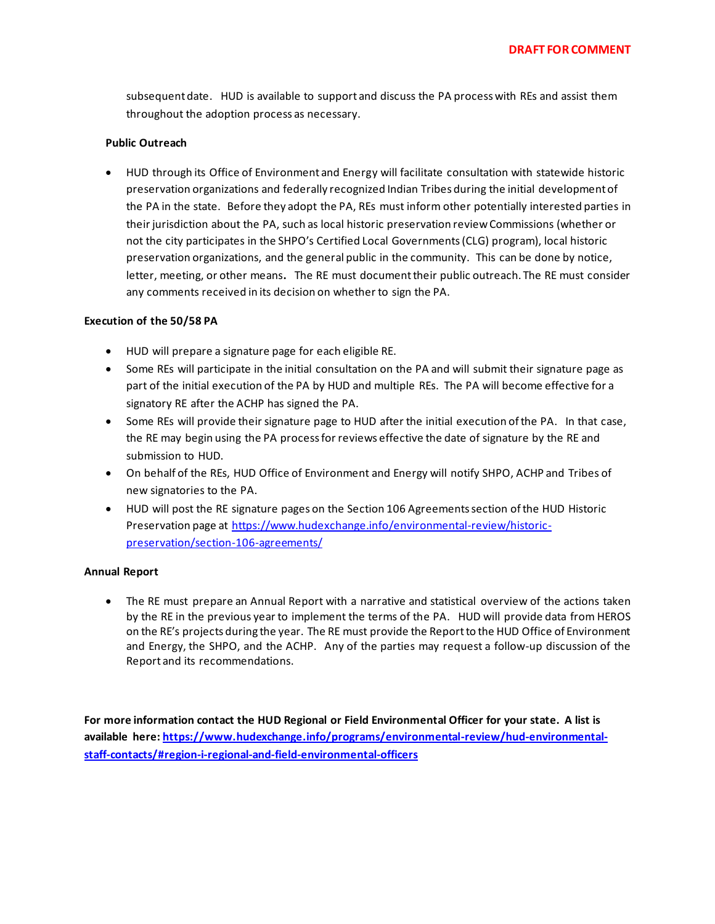subsequent date. HUD is available to support and discuss the PA process with REs and assist them throughout the adoption process as necessary.

#### **Public Outreach**

• HUD through its Office of Environment and Energy will facilitate consultation with statewide historic preservation organizations and federally recognized Indian Tribes during the initial development of the PA in the state. Before they adopt the PA, REs must inform other potentially interested parties in their jurisdiction about the PA, such as local historic preservation review Commissions (whether or not the city participates in the SHPO's Certified Local Governments (CLG) program), local historic preservation organizations, and the general public in the community. This can be done by notice, letter, meeting, or other means**.** The RE must document their public outreach. The RE must consider any comments received in its decision on whether to sign the PA.

#### **Execution of the 50/58 PA**

- HUD will prepare a signature page for each eligible RE.
- Some REs will participate in the initial consultation on the PA and will submit their signature page as part of the initial execution of the PA by HUD and multiple REs. The PA will become effective for a signatory RE after the ACHP has signed the PA.
- Some REs will provide their signature page to HUD after the initial execution of the PA. In that case, the RE may begin using the PA process for reviews effective the date of signature by the RE and submission to HUD.
- On behalf of the REs, HUD Office of Environment and Energy will notify SHPO, ACHP and Tribes of new signatories to the PA.
- HUD will post the RE signature pages on the Section 106 Agreements section of the HUD Historic Preservation page at [https://www.hudexchange.info/environmental-review/historic](https://www.hudexchange.info/environmental-review/historic-preservation/section-106-agreements/)[preservation/section-106-agreements/](https://www.hudexchange.info/environmental-review/historic-preservation/section-106-agreements/)

#### **Annual Report**

• The RE must prepare an Annual Report with a narrative and statistical overview of the actions taken by the RE in the previous year to implement the terms of the PA. HUD will provide data from HEROS on the RE's projects during the year. The RE must provide the Report to the HUD Office of Environment and Energy, the SHPO, and the ACHP. Any of the parties may request a follow-up discussion of the Report and its recommendations.

**For more information contact the HUD Regional or Field Environmental Officer for your state. A list is available here[: https://www.hudexchange.info/programs/environmental-review/hud-environmental](https://www.hudexchange.info/programs/environmental-review/hud-environmental-staff-contacts/#region-i-regional-and-field-environmental-officers)[staff-contacts/#region-i-regional-and-field-environmental-officers](https://www.hudexchange.info/programs/environmental-review/hud-environmental-staff-contacts/#region-i-regional-and-field-environmental-officers)**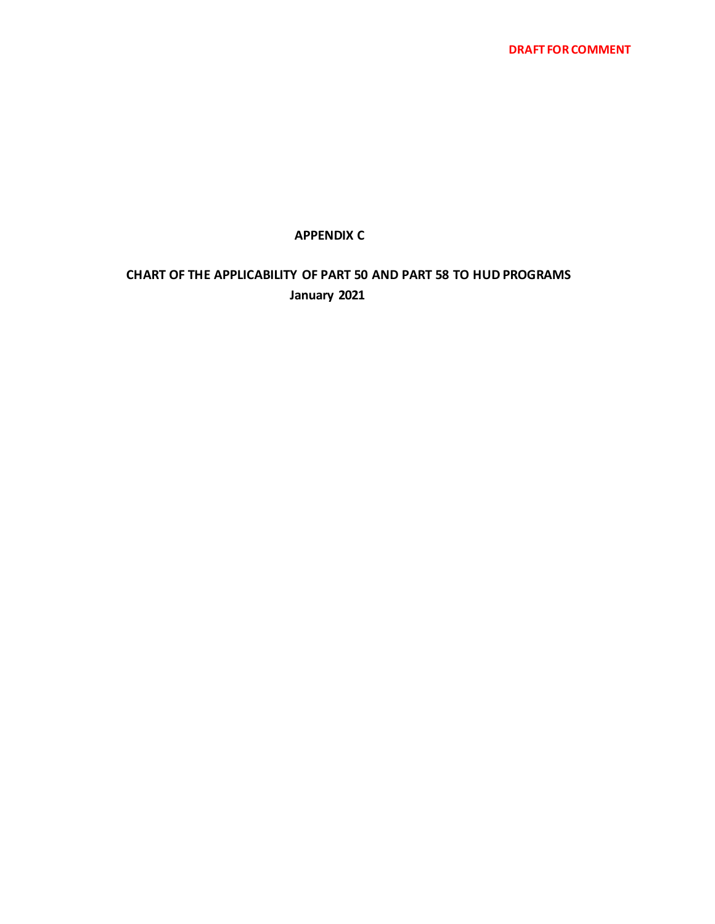## **APPENDIX C**

# **CHART OF THE APPLICABILITY OF PART 50 AND PART 58 TO HUD PROGRAMS January 2021**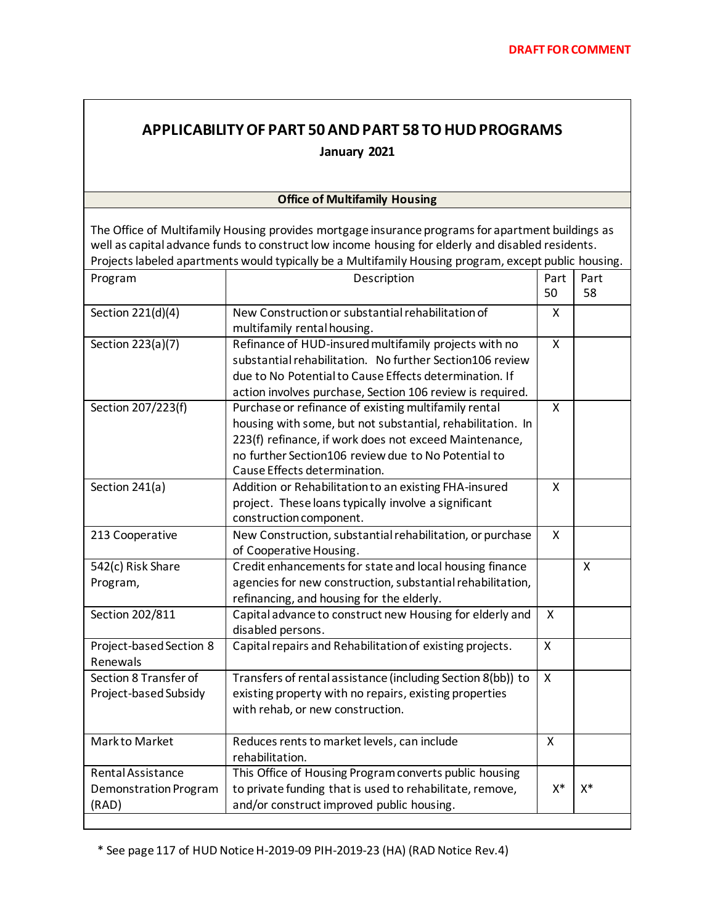# **APPLICABILITY OF PART 50 AND PART 58 TO HUD PROGRAMS January 2021**

### **Office of Multifamily Housing**

The Office of Multifamily Housing provides mortgage insurance programs for apartment buildings as well as capital advance funds to construct low income housing for elderly and disabled residents. Projects labeled apartments would typically be a Multifamily Housing program, except public housing.

| Program                             | Description                                                 | Part           | Part         |
|-------------------------------------|-------------------------------------------------------------|----------------|--------------|
|                                     |                                                             | 50             | 58           |
| Section 221(d)(4)                   | New Construction or substantial rehabilitation of           | x              |              |
|                                     | multifamily rental housing.                                 |                |              |
| Section 223(a)(7)                   | Refinance of HUD-insured multifamily projects with no       | $\mathsf{x}$   |              |
|                                     | substantial rehabilitation. No further Section106 review    |                |              |
|                                     | due to No Potential to Cause Effects determination. If      |                |              |
|                                     | action involves purchase, Section 106 review is required.   |                |              |
| Section 207/223(f)                  | Purchase or refinance of existing multifamily rental        | X              |              |
|                                     | housing with some, but not substantial, rehabilitation. In  |                |              |
|                                     | 223(f) refinance, if work does not exceed Maintenance,      |                |              |
|                                     | no further Section106 review due to No Potential to         |                |              |
|                                     | Cause Effects determination.                                |                |              |
| Section 241(a)                      | Addition or Rehabilitation to an existing FHA-insured       | X              |              |
|                                     | project. These loans typically involve a significant        |                |              |
|                                     | construction component.                                     |                |              |
| 213 Cooperative                     | New Construction, substantial rehabilitation, or purchase   | X              |              |
|                                     | of Cooperative Housing.                                     |                |              |
| 542(c) Risk Share                   | Credit enhancements for state and local housing finance     |                | $\mathsf{x}$ |
| Program,                            | agencies for new construction, substantial rehabilitation,  |                |              |
|                                     | refinancing, and housing for the elderly.                   |                |              |
| Section 202/811                     | Capital advance to construct new Housing for elderly and    | X              |              |
|                                     | disabled persons.                                           | $\overline{X}$ |              |
| Project-based Section 8<br>Renewals | Capital repairs and Rehabilitation of existing projects.    |                |              |
| Section 8 Transfer of               | Transfers of rental assistance (including Section 8(bb)) to | X              |              |
| Project-based Subsidy               | existing property with no repairs, existing properties      |                |              |
|                                     | with rehab, or new construction.                            |                |              |
|                                     |                                                             |                |              |
| Markto Market                       | Reduces rents to market levels, can include                 | X              |              |
|                                     | rehabilitation.                                             |                |              |
| <b>Rental Assistance</b>            | This Office of Housing Program converts public housing      |                |              |
| Demonstration Program               | to private funding that is used to rehabilitate, remove,    | $X^*$          | $X^*$        |
| (RAD)                               | and/or construct improved public housing.                   |                |              |
|                                     |                                                             |                |              |

\* See page 117 of HUD Notice H-2019-09 PIH-2019-23 (HA) (RAD Notice Rev.4)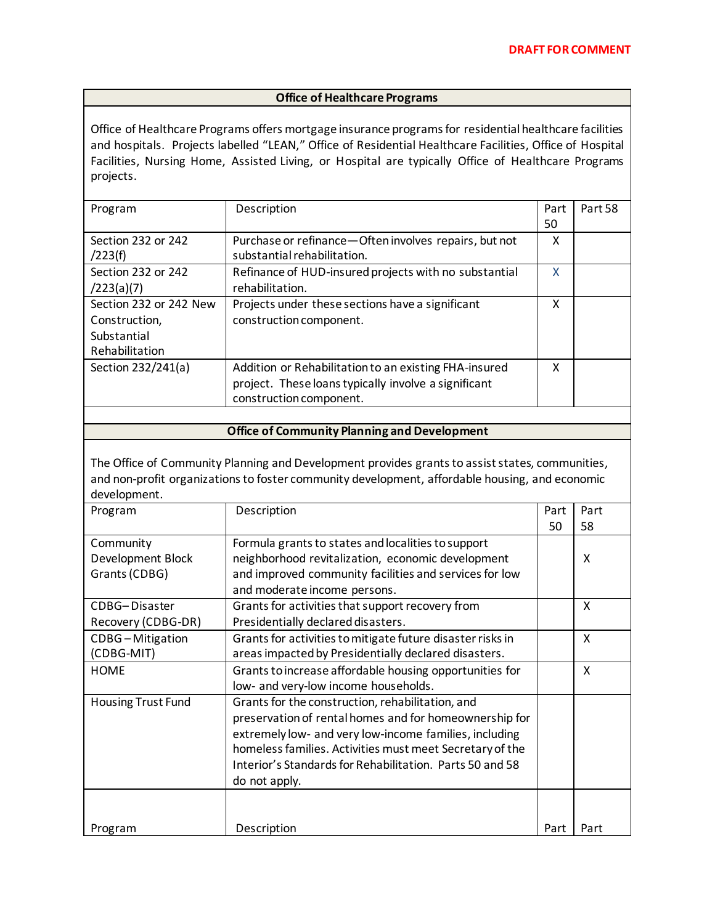### **Office of Healthcare Programs**

Office of Healthcare Programs offers mortgage insurance programs for residential healthcare facilities and hospitals. Projects labelled "LEAN," Office of Residential Healthcare Facilities, Office of Hospital Facilities, Nursing Home, Assisted Living, or Hospital are typically Office of Healthcare Programs projects.

| Program                | Description                                             | Part | Part 58 |
|------------------------|---------------------------------------------------------|------|---------|
|                        |                                                         | 50   |         |
| Section 232 or 242     | Purchase or refinance - Often involves repairs, but not | x    |         |
| /223(f)                | substantial rehabilitation.                             |      |         |
| Section 232 or 242     | Refinance of HUD-insured projects with no substantial   | X    |         |
| (223(a)(7))            | rehabilitation.                                         |      |         |
| Section 232 or 242 New | Projects under these sections have a significant        | x    |         |
| Construction,          | construction component.                                 |      |         |
| Substantial            |                                                         |      |         |
| Rehabilitation         |                                                         |      |         |
| Section 232/241(a)     | Addition or Rehabilitation to an existing FHA-insured   | x    |         |
|                        | project. These loans typically involve a significant    |      |         |
|                        | construction component.                                 |      |         |
|                        |                                                         |      |         |

#### **Office of Community Planning and Development**

The Office of Community Planning and Development provides grants to assist states, communities, and non-profit organizations to foster community development, affordable housing, and economic development.

| Program                   | Description                                                | Part | Part |
|---------------------------|------------------------------------------------------------|------|------|
|                           |                                                            | 50   | 58   |
| Community                 | Formula grants to states and localities to support         |      |      |
| <b>Development Block</b>  | neighborhood revitalization, economic development          |      | X    |
| Grants (CDBG)             | and improved community facilities and services for low     |      |      |
|                           | and moderate income persons.                               |      |      |
| CDBG-Disaster             | Grants for activities that support recovery from           |      | X    |
| Recovery (CDBG-DR)        | Presidentially declared disasters.                         |      |      |
| <b>CDBG-Mitigation</b>    | Grants for activities to mitigate future disaster risks in |      | X    |
| (CDBG-MIT)                | areas impacted by Presidentially declared disasters.       |      |      |
| <b>HOME</b>               | Grants to increase affordable housing opportunities for    |      | X    |
|                           | low- and very-low income households.                       |      |      |
| <b>Housing Trust Fund</b> | Grants for the construction, rehabilitation, and           |      |      |
|                           | preservation of rental homes and for homeownership for     |      |      |
|                           | extremely low- and very low-income families, including     |      |      |
|                           | homeless families. Activities must meet Secretary of the   |      |      |
|                           | Interior's Standards for Rehabilitation. Parts 50 and 58   |      |      |
|                           | do not apply.                                              |      |      |
|                           |                                                            |      |      |
|                           |                                                            |      |      |
| Program                   | Description                                                | Part | Part |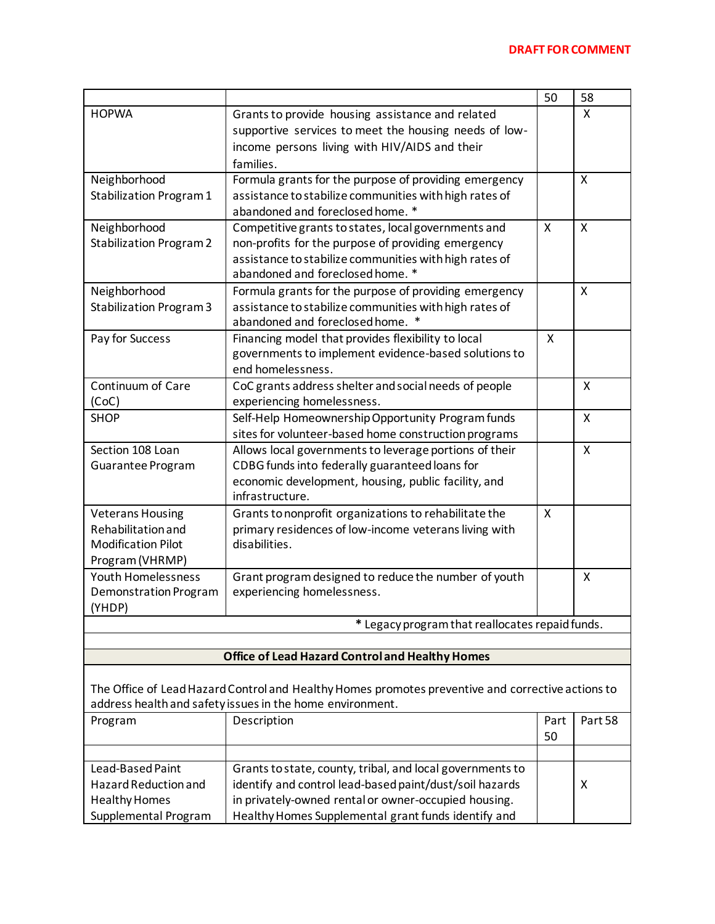| <b>HOPWA</b><br>X<br>Grants to provide housing assistance and related<br>supportive services to meet the housing needs of low-<br>income persons living with HIV/AIDS and their<br>families.<br>Neighborhood<br>Formula grants for the purpose of providing emergency<br>$\mathsf{x}$<br>Stabilization Program 1<br>assistance to stabilize communities with high rates of<br>abandoned and foreclosed home. * |  |  |  |
|----------------------------------------------------------------------------------------------------------------------------------------------------------------------------------------------------------------------------------------------------------------------------------------------------------------------------------------------------------------------------------------------------------------|--|--|--|
|                                                                                                                                                                                                                                                                                                                                                                                                                |  |  |  |
|                                                                                                                                                                                                                                                                                                                                                                                                                |  |  |  |
|                                                                                                                                                                                                                                                                                                                                                                                                                |  |  |  |
|                                                                                                                                                                                                                                                                                                                                                                                                                |  |  |  |
|                                                                                                                                                                                                                                                                                                                                                                                                                |  |  |  |
|                                                                                                                                                                                                                                                                                                                                                                                                                |  |  |  |
|                                                                                                                                                                                                                                                                                                                                                                                                                |  |  |  |
| Neighborhood<br>X<br>X<br>Competitive grants to states, local governments and                                                                                                                                                                                                                                                                                                                                  |  |  |  |
| <b>Stabilization Program 2</b><br>non-profits for the purpose of providing emergency                                                                                                                                                                                                                                                                                                                           |  |  |  |
| assistance to stabilize communities with high rates of                                                                                                                                                                                                                                                                                                                                                         |  |  |  |
| abandoned and foreclosed home. *                                                                                                                                                                                                                                                                                                                                                                               |  |  |  |
| Neighborhood<br>Formula grants for the purpose of providing emergency<br>Χ                                                                                                                                                                                                                                                                                                                                     |  |  |  |
| <b>Stabilization Program 3</b><br>assistance to stabilize communities with high rates of                                                                                                                                                                                                                                                                                                                       |  |  |  |
| abandoned and foreclosed home. *                                                                                                                                                                                                                                                                                                                                                                               |  |  |  |
| Pay for Success<br>Financing model that provides flexibility to local<br>X                                                                                                                                                                                                                                                                                                                                     |  |  |  |
| governments to implement evidence-based solutions to                                                                                                                                                                                                                                                                                                                                                           |  |  |  |
| end homelessness.                                                                                                                                                                                                                                                                                                                                                                                              |  |  |  |
| Continuum of Care<br>CoC grants address shelter and social needs of people<br>X                                                                                                                                                                                                                                                                                                                                |  |  |  |
| experiencing homelessness.<br>(CoC)                                                                                                                                                                                                                                                                                                                                                                            |  |  |  |
| $\boldsymbol{\mathsf{X}}$<br><b>SHOP</b><br>Self-Help Homeownership Opportunity Program funds                                                                                                                                                                                                                                                                                                                  |  |  |  |
| sites for volunteer-based home construction programs                                                                                                                                                                                                                                                                                                                                                           |  |  |  |
| Section 108 Loan<br>X<br>Allows local governments to leverage portions of their                                                                                                                                                                                                                                                                                                                                |  |  |  |
| CDBG funds into federally guaranteed loans for<br>Guarantee Program                                                                                                                                                                                                                                                                                                                                            |  |  |  |
| economic development, housing, public facility, and                                                                                                                                                                                                                                                                                                                                                            |  |  |  |
| infrastructure.                                                                                                                                                                                                                                                                                                                                                                                                |  |  |  |
| $\boldsymbol{\mathsf{X}}$<br>Grants to nonprofit organizations to rehabilitate the<br><b>Veterans Housing</b>                                                                                                                                                                                                                                                                                                  |  |  |  |
| Rehabilitation and<br>primary residences of low-income veterans living with                                                                                                                                                                                                                                                                                                                                    |  |  |  |
| <b>Modification Pilot</b><br>disabilities.                                                                                                                                                                                                                                                                                                                                                                     |  |  |  |
| Program (VHRMP)                                                                                                                                                                                                                                                                                                                                                                                                |  |  |  |
| Youth Homelessness<br>Grant program designed to reduce the number of youth<br>X                                                                                                                                                                                                                                                                                                                                |  |  |  |
| Demonstration Program<br>experiencing homelessness.                                                                                                                                                                                                                                                                                                                                                            |  |  |  |
| (YHDP)                                                                                                                                                                                                                                                                                                                                                                                                         |  |  |  |
| * Legacy program that reallocates repaid funds.                                                                                                                                                                                                                                                                                                                                                                |  |  |  |
|                                                                                                                                                                                                                                                                                                                                                                                                                |  |  |  |
| <b>Office of Lead Hazard Control and Healthy Homes</b>                                                                                                                                                                                                                                                                                                                                                         |  |  |  |
|                                                                                                                                                                                                                                                                                                                                                                                                                |  |  |  |
| The Office of Lead Hazard Control and Healthy Homes promotes preventive and corrective actions to                                                                                                                                                                                                                                                                                                              |  |  |  |
| address health and safety issues in the home environment.                                                                                                                                                                                                                                                                                                                                                      |  |  |  |
| Part 58<br>Program<br>Description<br>Part<br>50                                                                                                                                                                                                                                                                                                                                                                |  |  |  |

|                      |                                                           | 50 |   |
|----------------------|-----------------------------------------------------------|----|---|
|                      |                                                           |    |   |
| Lead-Based Paint     | Grants to state, county, tribal, and local governments to |    |   |
| Hazard Reduction and | identify and control lead-based paint/dust/soil hazards   |    | х |
| <b>Healthy Homes</b> | in privately-owned rental or owner-occupied housing.      |    |   |
| Supplemental Program | Healthy Homes Supplemental grant funds identify and       |    |   |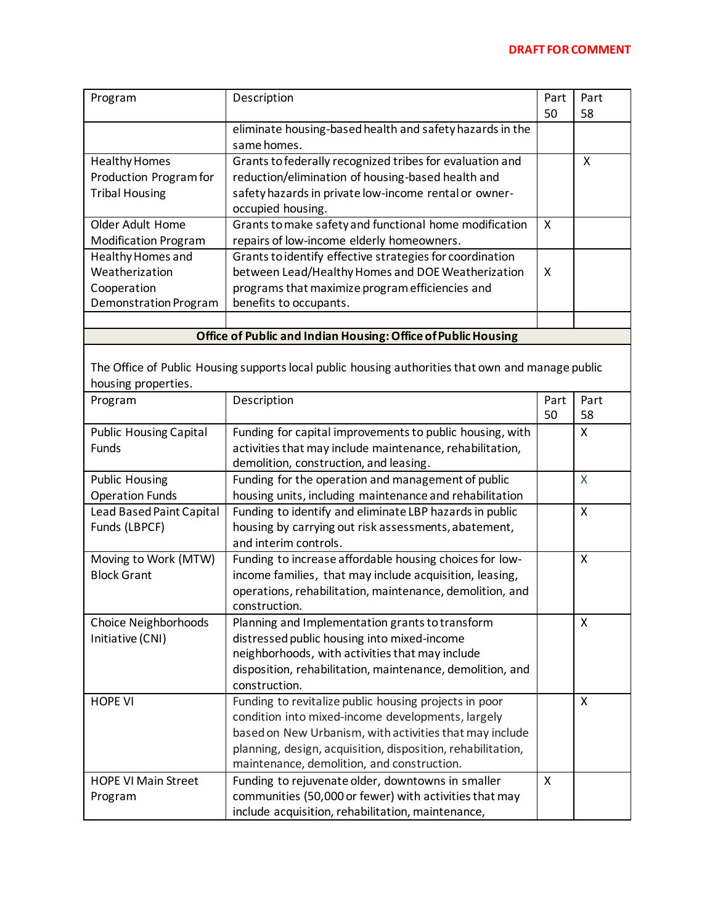| Program                     | Description                                              | Part | Part |
|-----------------------------|----------------------------------------------------------|------|------|
|                             |                                                          | 50   | 58   |
|                             | eliminate housing-based health and safety hazards in the |      |      |
|                             | same homes.                                              |      |      |
| <b>Healthy Homes</b>        | Grants to federally recognized tribes for evaluation and |      | x    |
| Production Program for      | reduction/elimination of housing-based health and        |      |      |
| <b>Tribal Housing</b>       | safety hazards in private low-income rental or owner-    |      |      |
|                             | occupied housing.                                        |      |      |
| Older Adult Home            | Grants to make safety and functional home modification   | X    |      |
| <b>Modification Program</b> | repairs of low-income elderly homeowners.                |      |      |
| Healthy Homes and           | Grants to identify effective strategies for coordination |      |      |
| Weatherization              | between Lead/Healthy Homes and DOE Weatherization        | X    |      |
| Cooperation                 | programs that maximize program efficiencies and          |      |      |
| Demonstration Program       | benefits to occupants.                                   |      |      |
|                             |                                                          |      |      |

# **Office of Public and Indian Housing: Office of Public Housing**

The Office of Public Housing supports local public housing authorities that own and manage public housing properties.

| יז סי                           |                                                             |      |      |
|---------------------------------|-------------------------------------------------------------|------|------|
| Program                         | Description                                                 | Part | Part |
|                                 |                                                             | 50   | 58   |
| <b>Public Housing Capital</b>   | Funding for capital improvements to public housing, with    |      | X    |
| <b>Funds</b>                    | activities that may include maintenance, rehabilitation,    |      |      |
|                                 | demolition, construction, and leasing.                      |      |      |
| <b>Public Housing</b>           | Funding for the operation and management of public          |      | X    |
| <b>Operation Funds</b>          | housing units, including maintenance and rehabilitation     |      |      |
| <b>Lead Based Paint Capital</b> | Funding to identify and eliminate LBP hazards in public     |      | X    |
| Funds (LBPCF)                   | housing by carrying out risk assessments, abatement,        |      |      |
|                                 | and interim controls.                                       |      |      |
| Moving to Work (MTW)            | Funding to increase affordable housing choices for low-     |      | X    |
| <b>Block Grant</b>              | income families, that may include acquisition, leasing,     |      |      |
|                                 | operations, rehabilitation, maintenance, demolition, and    |      |      |
|                                 | construction.                                               |      |      |
| <b>Choice Neighborhoods</b>     | Planning and Implementation grants to transform             |      | x    |
| Initiative (CNI)                | distressed public housing into mixed-income                 |      |      |
|                                 | neighborhoods, with activities that may include             |      |      |
|                                 | disposition, rehabilitation, maintenance, demolition, and   |      |      |
|                                 | construction.                                               |      |      |
| <b>HOPE VI</b>                  | Funding to revitalize public housing projects in poor       |      | X    |
|                                 | condition into mixed-income developments, largely           |      |      |
|                                 | based on New Urbanism, with activities that may include     |      |      |
|                                 | planning, design, acquisition, disposition, rehabilitation, |      |      |
|                                 | maintenance, demolition, and construction.                  |      |      |
| <b>HOPE VI Main Street</b>      | Funding to rejuvenate older, downtowns in smaller           | X    |      |
| Program                         | communities (50,000 or fewer) with activities that may      |      |      |
|                                 | include acquisition, rehabilitation, maintenance,           |      |      |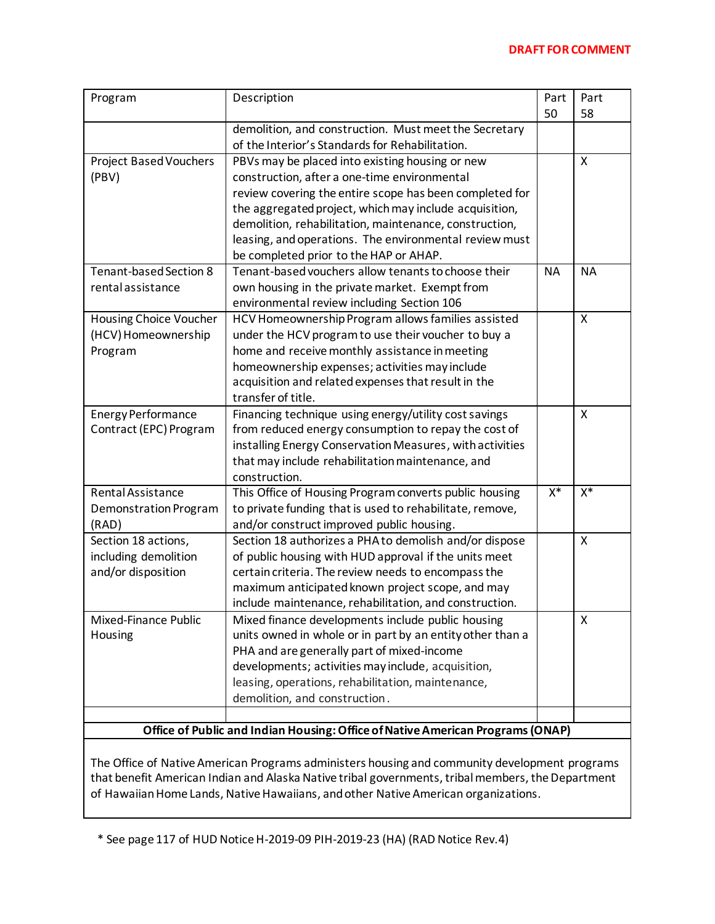| Program                                                                        | Description                                                                                                  | Part<br>50 | Part<br>58 |
|--------------------------------------------------------------------------------|--------------------------------------------------------------------------------------------------------------|------------|------------|
|                                                                                | demolition, and construction. Must meet the Secretary                                                        |            |            |
|                                                                                | of the Interior's Standards for Rehabilitation.                                                              |            |            |
| <b>Project Based Vouchers</b>                                                  | PBVs may be placed into existing housing or new                                                              |            | X          |
| (PBV)                                                                          | construction, after a one-time environmental                                                                 |            |            |
|                                                                                | review covering the entire scope has been completed for                                                      |            |            |
|                                                                                | the aggregated project, which may include acquisition,                                                       |            |            |
|                                                                                | demolition, rehabilitation, maintenance, construction,                                                       |            |            |
|                                                                                | leasing, and operations. The environmental review must                                                       |            |            |
|                                                                                | be completed prior to the HAP or AHAP.                                                                       |            |            |
| <b>Tenant-based Section 8</b>                                                  | Tenant-based vouchers allow tenants to choose their                                                          | <b>NA</b>  | <b>NA</b>  |
| rental assistance                                                              | own housing in the private market. Exempt from                                                               |            |            |
|                                                                                | environmental review including Section 106<br>HCV Homeownership Program allows families assisted             |            | X          |
| Housing Choice Voucher<br>(HCV) Homeownership                                  | under the HCV program to use their voucher to buy a                                                          |            |            |
| Program                                                                        | home and receive monthly assistance in meeting                                                               |            |            |
|                                                                                | homeownership expenses; activities may include                                                               |            |            |
|                                                                                | acquisition and related expenses that result in the                                                          |            |            |
|                                                                                | transfer of title.                                                                                           |            |            |
| <b>Energy Performance</b>                                                      | Financing technique using energy/utility cost savings                                                        |            | Χ          |
| Contract (EPC) Program                                                         | from reduced energy consumption to repay the cost of                                                         |            |            |
|                                                                                | installing Energy Conservation Measures, with activities                                                     |            |            |
|                                                                                | that may include rehabilitation maintenance, and                                                             |            |            |
|                                                                                | construction.                                                                                                |            |            |
| <b>Rental Assistance</b>                                                       | This Office of Housing Program converts public housing                                                       | $X^*$      | $X^*$      |
| Demonstration Program                                                          | to private funding that is used to rehabilitate, remove,                                                     |            |            |
| (RAD)                                                                          | and/or construct improved public housing.                                                                    |            |            |
| Section 18 actions,                                                            | Section 18 authorizes a PHA to demolish and/or dispose                                                       |            | X          |
| including demolition<br>and/or disposition                                     | of public housing with HUD approval if the units meet<br>certain criteria. The review needs to encompass the |            |            |
|                                                                                | maximum anticipated known project scope, and may                                                             |            |            |
|                                                                                | include maintenance, rehabilitation, and construction.                                                       |            |            |
| <b>Mixed-Finance Public</b>                                                    | Mixed finance developments include public housing                                                            |            | Χ          |
| Housing                                                                        | units owned in whole or in part by an entity other than a                                                    |            |            |
|                                                                                | PHA and are generally part of mixed-income                                                                   |            |            |
|                                                                                | developments; activities may include, acquisition,                                                           |            |            |
|                                                                                | leasing, operations, rehabilitation, maintenance,                                                            |            |            |
|                                                                                | demolition, and construction.                                                                                |            |            |
|                                                                                |                                                                                                              |            |            |
| Office of Public and Indian Housing: Office of Native American Programs (ONAP) |                                                                                                              |            |            |

The Office of Native American Programs administers housing and community development programs that benefit American Indian and Alaska Native tribal governments, tribal members, the Department of Hawaiian Home Lands, Native Hawaiians, and other Native American organizations.

\* See page 117 of HUD Notice H-2019-09 PIH-2019-23 (HA) (RAD Notice Rev.4)